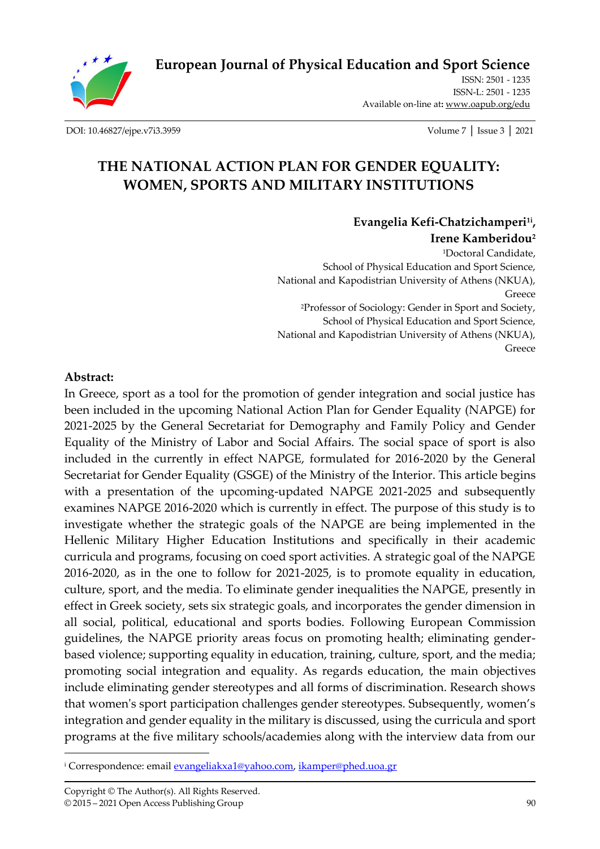**[European Journal of Physical Education and Sport Science](http://oapub.org/edu/index.php/ejep)**

ISSN: 2501 - 1235 ISSN-L: 2501 - 1235 Available on-line at**:** [www.oapub.org/edu](http://www.oapub.org/edu)

[DOI: 10.46827/ejpe.v7i3.3959](http://dx.doi.org/10.46827/ejpe.v7i3.3959) Volume 7 │ Issue 3 │ 2021

# **THE NATIONAL ACTION PLAN FOR GENDER EQUALITY: WOMEN, SPORTS AND MILITARY INSTITUTIONS**

**Evangelia Kefi-Chatzichamperi1i , Irene Kamberidou<sup>2</sup>** <sup>1</sup>Doctoral Candidate, School of Physical Education and Sport Science, National and Kapodistrian University of Athens (NKUA), Greece <sup>2</sup>Professor of Sociology: Gender in Sport and Society, School of Physical Education and Sport Science, National and Kapodistrian University of Athens (NKUA), Greece

#### **Abstract:**

In Greece, sport as a tool for the promotion of gender integration and social justice has been included in the upcoming National Action Plan for Gender Equality (NAPGE) for 2021-2025 by the General Secretariat for Demography and Family Policy and Gender Equality of the Ministry of Labor and Social Affairs. The social space of sport is also included in the currently in effect NAPGE, formulated for 2016-2020 by the General Secretariat for Gender Equality (GSGE) of the Ministry of the Interior. This article begins with a presentation of the upcoming-updated NAPGE 2021-2025 and subsequently examines NAPGE 2016-2020 which is currently in effect. The purpose of this study is to investigate whether the strategic goals of the NAPGE are being implemented in the Hellenic Military Higher Education Institutions and specifically in their academic curricula and programs, focusing on coed sport activities. A strategic goal of the NAPGE 2016-2020, as in the one to follow for 2021-2025, is to promote equality in education, culture, sport, and the media*.* To eliminate gender inequalities the NAPGE, presently in effect in Greek society, sets six strategic goals, and incorporates the gender dimension in all social, political, educational and sports bodies. Following European Commission guidelines, the NAPGE priority areas focus on promoting health; eliminating genderbased violence; supporting equality in education, training, culture, sport, and the media; promoting social integration and equality. As regards education, the main objectives include eliminating gender stereotypes and all forms of discrimination. Research shows that women's sport participation challenges gender stereotypes. Subsequently, women's integration and gender equality in the military is discussed, using the curricula and sport programs at the five military schools/academies along with the interview data from our

<sup>&</sup>lt;sup>i</sup> Correspondence: email **evangeliakxa1@yahoo.com**, *ikamper@phed.uoa.gr*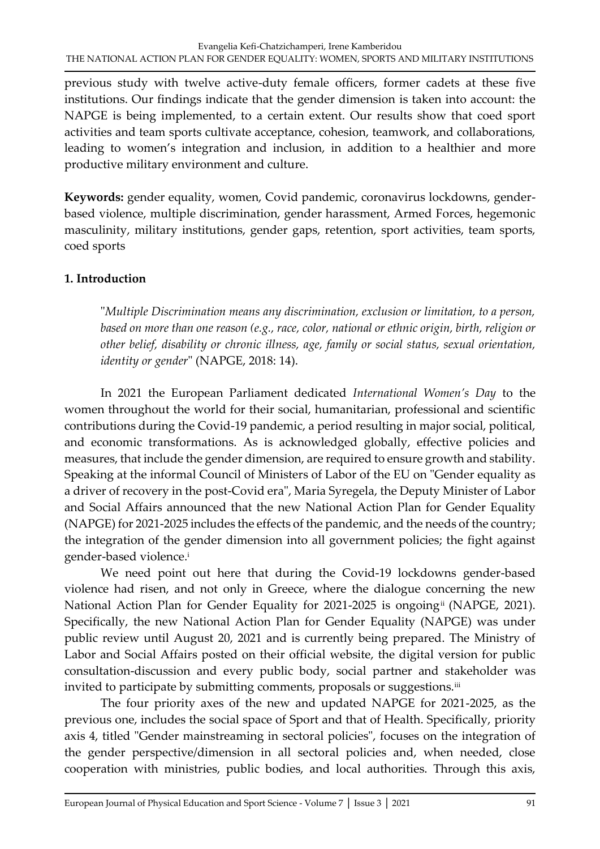previous study with twelve active-duty female officers, former cadets at these five institutions. Our findings indicate that the gender dimension is taken into account: the NAPGE is being implemented, to a certain extent. Our results show that coed sport activities and team sports cultivate acceptance, cohesion, teamwork, and collaborations, leading to women's integration and inclusion, in addition to a healthier and more productive military environment and culture.

**Keywords:** gender equality, women, Covid pandemic, coronavirus lockdowns, genderbased violence, multiple discrimination, gender harassment, Armed Forces, hegemonic masculinity, military institutions, gender gaps, retention, sport activities, team sports, coed sports

# **1. Introduction**

"*Multiple Discrimination means any discrimination, exclusion or limitation, to a person, based on more than one reason (e.g., race, color, national or ethnic origin, birth, religion or other belief, disability or chronic illness, age, family or social status, sexual orientation, identity or gender*" (NAPGE, 2018: 14).

In 2021 the European Parliament dedicated *International Women's Day* to the women throughout the world for their social, humanitarian, professional and scientific contributions during the Covid-19 pandemic, a period resulting in major social, political, and economic transformations. As is acknowledged globally, effective policies and measures, that include the gender dimension, are required to ensure growth and stability. Speaking at the informal Council of Ministers of Labor of the EU on "Gender equality as a driver of recovery in the post-Covid era", Maria Syregela, the Deputy Minister of Labor and Social Affairs announced that the new National Action Plan for Gender Equality (NAPGE) for 2021-2025 includes the effects of the pandemic, and the needs of the country; the integration of the gender dimension into all government policies; the fight against gender-based violence.<sup>i</sup>

We need point out here that during the Covid-19 lockdowns gender-based violence had risen, and not only in Greece, where the dialogue concerning the new National Action Plan for Gender Equality for 2021-2025 is ongoing<sup>ii</sup> (NAPGE, 2021). Specifically, the new National Action Plan for Gender Equality (NAPGE) was under public review until August 20, 2021 and is currently being prepared. The Ministry of Labor and Social Affairs posted on their official website, the digital version for public consultation-discussion and every public body, social partner and stakeholder was invited to participate by submitting comments, proposals or suggestions.<sup>iii</sup>

The four priority axes of the new and updated NAPGE for 2021-2025, as the previous one, includes the social space of Sport and that of Health. Specifically, priority axis 4, titled "Gender mainstreaming in sectoral policies", focuses on the integration of the gender perspective/dimension in all sectoral policies and, when needed, close cooperation with ministries, public bodies, and local authorities. Through this axis,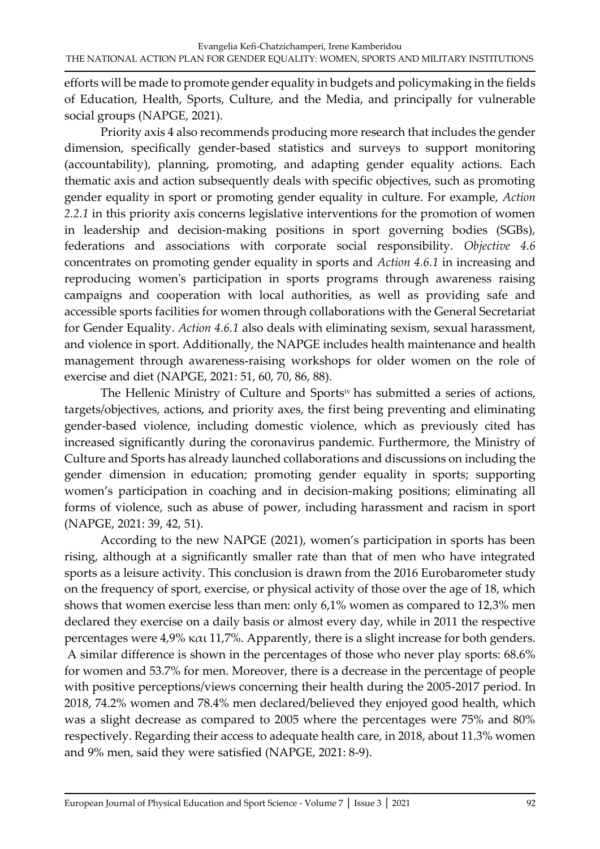efforts will be made to promote gender equality in budgets and policymaking in the fields of Education, Health, Sports, Culture, and the Media, and principally for vulnerable social groups (NAPGE, 2021).

Priority axis 4 also recommends producing more research that includes the gender dimension, specifically gender-based statistics and surveys to support monitoring (accountability), planning, promoting, and adapting gender equality actions. Each thematic axis and action subsequently deals with specific objectives, such as promoting gender equality in sport or promoting gender equality in culture. For example, *Action 2.2.1* in this priority axis concerns legislative interventions for the promotion of women in leadership and decision-making positions in sport governing bodies (SGBs), federations and associations with corporate social responsibility. *Objective 4.6* concentrates on promoting gender equality in sports and *Action 4.6.1* in increasing and reproducing women's participation in sports programs through awareness raising campaigns and cooperation with local authorities, as well as providing safe and accessible sports facilities for women through collaborations with the General Secretariat for Gender Equality. *Action 4.6.1* also deals with eliminating sexism, sexual harassment, and violence in sport. Additionally, the NAPGE includes health maintenance and health management through awareness-raising workshops for older women on the role of exercise and diet (NAPGE, 2021: 51, 60, 70, 86, 88).

The Hellenic Ministry of Culture and Sportsiv has submitted a series of actions, targets/objectives, actions, and priority axes, the first being preventing and eliminating gender-based violence, including domestic violence, which as previously cited has increased significantly during the coronavirus pandemic. Furthermore, the Ministry of Culture and Sports has already launched collaborations and discussions on including the gender dimension in education; promoting gender equality in sports; supporting women's participation in coaching and in decision-making positions; eliminating all forms of violence, such as abuse of power, including harassment and racism in sport (NAPGE, 2021: 39, 42, 51).

According to the new NAPGE (2021), women's participation in sports has been rising, although at a significantly smaller rate than that of men who have integrated sports as a leisure activity. This conclusion is drawn from the 2016 Eurobarometer study on the frequency of sport, exercise, or physical activity of those over the age of 18, which shows that women exercise less than men: only 6,1% women as compared to 12,3% men declared they exercise on a daily basis or almost every day, while in 2011 the respective percentages were 4,9% και 11,7%. Apparently, there is a slight increase for both genders. A similar difference is shown in the percentages of those who never play sports: 68.6% for women and 53.7% for men. Moreover, there is a decrease in the percentage of people with positive perceptions/views concerning their health during the 2005-2017 period. In 2018, 74.2% women and 78.4% men declared/believed they enjoyed good health, which was a slight decrease as compared to 2005 where the percentages were 75% and 80% respectively. Regarding their access to adequate health care, in 2018, about 11.3% women and 9% men, said they were satisfied (NAPGE, 2021: 8-9).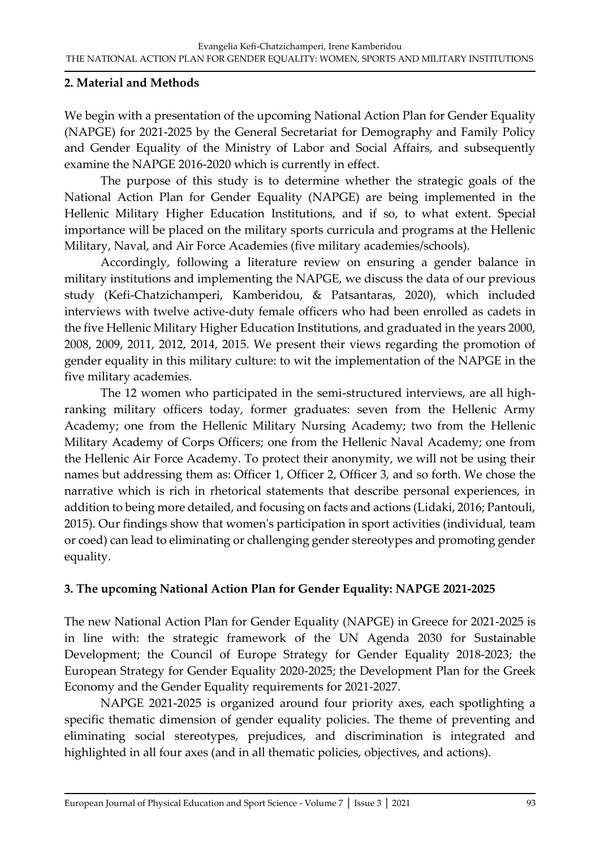#### **2. Material and Methods**

We begin with a presentation of the upcoming National Action Plan for Gender Equality (NAPGE) for 2021-2025 by the General Secretariat for Demography and Family Policy and Gender Equality of the Ministry of Labor and Social Affairs, and subsequently examine the NAPGE 2016-2020 which is currently in effect.

The purpose of this study is to determine whether the strategic goals of the National Action Plan for Gender Equality (NAPGE) are being implemented in the Hellenic Military Higher Education Institutions, and if so, to what extent. Special importance will be placed on the military sports curricula and programs at the Hellenic Military, Naval, and Air Force Academies (five military academies/schools).

Accordingly, following a literature review on ensuring a gender balance in military institutions and implementing the NAPGE, we discuss the data of our previous study (Kefi-Chatzichamperi, Kamberidou, & Patsantaras, 2020), which included interviews with twelve active-duty female officers who had been enrolled as cadets in the five Hellenic Military Higher Education Institutions, and graduated in the years 2000, 2008, 2009, 2011, 2012, 2014, 2015. We present their views regarding the promotion of gender equality in this military culture: to wit the implementation of the NAPGE in the five military academies.

The 12 women who participated in the semi-structured interviews, are all highranking military officers today, former graduates: seven from the Hellenic Army Academy; one from the Hellenic Military Nursing Academy; two from the Hellenic Military Academy of Corps Officers; one from the Hellenic Naval Academy; one from the Hellenic Air Force Academy. To protect their anonymity, we will not be using their names but addressing them as: Officer 1, Officer 2, Officer 3, and so forth. We chose the narrative which is rich in rhetorical statements that describe personal experiences, in addition to being more detailed, and focusing on facts and actions (Lidaki, 2016; Pantouli, 2015). Our findings show that women's participation in sport activities (individual, team or coed) can lead to eliminating or challenging gender stereotypes and promoting gender equality.

#### **3. The upcoming National Action Plan for Gender Equality: NAPGE 2021-2025**

The new National Action Plan for Gender Equality (NAPGE) in Greece for 2021-2025 is in line with: the strategic framework of the UN Agenda 2030 for Sustainable Development; the Council of Europe Strategy for Gender Equality 2018-2023; the European Strategy for Gender Equality 2020-2025; the Development Plan for the Greek Economy and the Gender Equality requirements for 2021-2027.

NAPGE 2021-2025 is organized around four priority axes, each spotlighting a specific thematic dimension of gender equality policies. The theme of preventing and eliminating social stereotypes, prejudices, and discrimination is integrated and highlighted in all four axes (and in all thematic policies, objectives, and actions).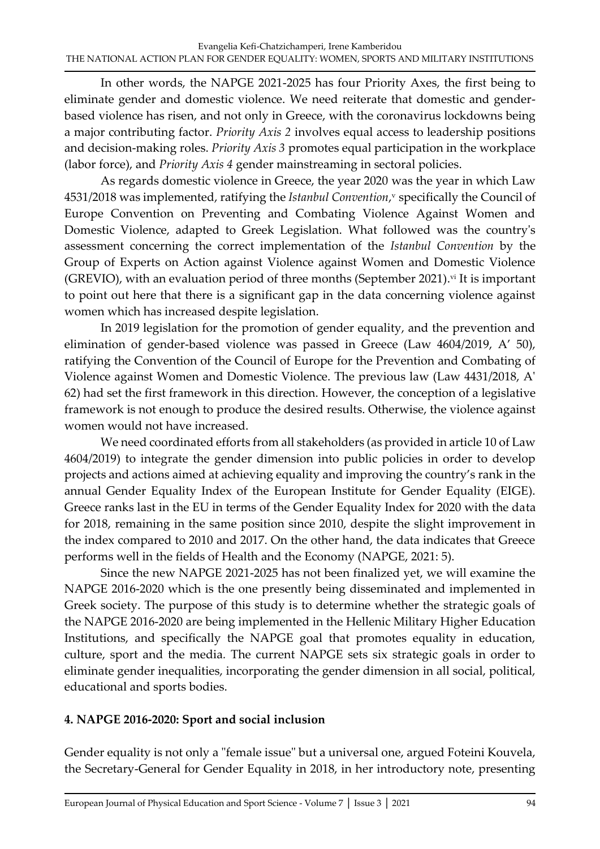In other words, the NAPGE 2021-2025 has four Priority Axes, the first being to eliminate gender and domestic violence. We need reiterate that domestic and genderbased violence has risen, and not only in Greece, with the coronavirus lockdowns being a major contributing factor. *Priority Axis 2* involves equal access to leadership positions and decision-making roles. *Priority Axis 3* promotes equal participation in the workplace (labor force), and *Priority Axis 4* gender mainstreaming in sectoral policies.

As regards domestic violence in Greece, the year 2020 was the year in which Law 4531/2018 was implemented, ratifying the *Istanbul Convention*, <sup>v</sup> specifically the Council of Europe Convention on Preventing and Combating Violence Against Women and Domestic Violence, adapted to Greek Legislation. What followed was the country's assessment concerning the correct implementation of the *Istanbul Convention* by the Group of Experts on Action against Violence against Women and Domestic Violence (GREVIO), with an evaluation period of three months (September 2021). vi It is important to point out here that there is a significant gap in the data concerning violence against women which has increased despite legislation.

In 2019 legislation for the promotion of gender equality, and the prevention and elimination of gender-based violence was passed in Greece (Law 4604/2019, A' 50), ratifying the Convention of the Council of Europe for the Prevention and Combating of Violence against Women and Domestic Violence. The previous law (Law 4431/2018, A' 62) had set the first framework in this direction. However, the conception of a legislative framework is not enough to produce the desired results. Otherwise, the violence against women would not have increased.

We need coordinated efforts from all stakeholders (as provided in article 10 of Law 4604/2019) to integrate the gender dimension into public policies in order to develop projects and actions aimed at achieving equality and improving the country's rank in the annual Gender Equality Index of the European Institute for Gender Equality (EIGE). Greece ranks last in the EU in terms of the Gender Equality Index for 2020 with the data for 2018, remaining in the same position since 2010, despite the slight improvement in the index compared to 2010 and 2017. On the other hand, the data indicates that Greece performs well in the fields of Health and the Economy (NAPGE, 2021: 5).

Since the new NAPGE 2021-2025 has not been finalized yet, we will examine the NAPGE 2016-2020 which is the one presently being disseminated and implemented in Greek society. The purpose of this study is to determine whether the strategic goals of the NAPGE 2016-2020 are being implemented in the Hellenic Military Higher Education Institutions, and specifically the NAPGE goal that promotes equality in education, culture, sport and the media*.* The current NAPGE sets six strategic goals in order to eliminate gender inequalities, incorporating the gender dimension in all social, political, educational and sports bodies.

### **4. NAPGE 2016-2020: Sport and social inclusion**

Gender equality is not only a "female issue" but a universal one, argued Foteini Kouvela, the Secretary-General for Gender Equality in 2018, in her introductory note, presenting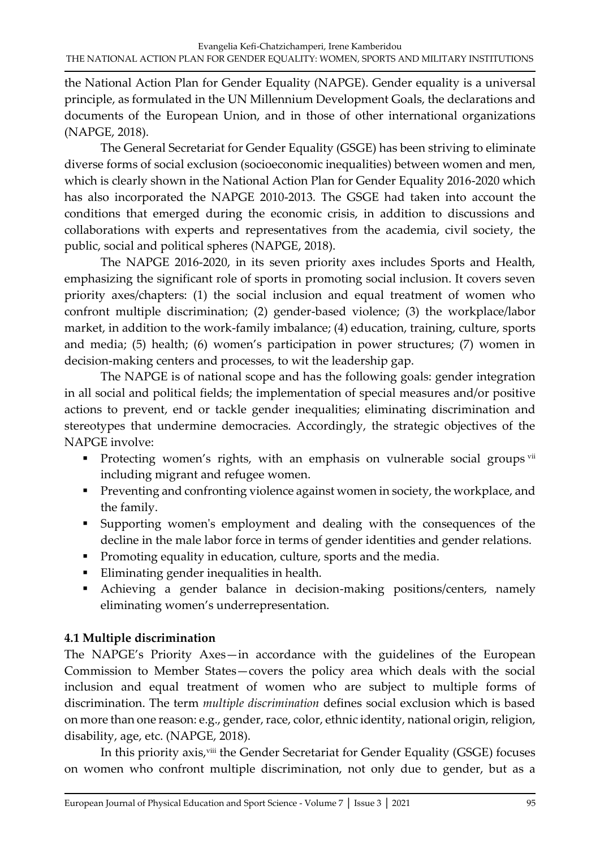the National Action Plan for Gender Equality (NAPGE). Gender equality is a universal principle, as formulated in the UN Millennium Development Goals, the declarations and documents of the European Union, and in those of other international organizations (NAPGE, 2018).

The General Secretariat for Gender Equality (GSGE) has been striving to eliminate diverse forms of social exclusion (socioeconomic inequalities) between women and men, which is clearly shown in the National Action Plan for Gender Equality 2016-2020 which has also incorporated the NAPGE 2010-2013. The GSGE had taken into account the conditions that emerged during the economic crisis, in addition to discussions and collaborations with experts and representatives from the academia, civil society, the public, social and political spheres (NAPGE, 2018).

The NAPGE 2016-2020, in its seven priority axes includes Sports and Health, emphasizing the significant role of sports in promoting social inclusion. It covers seven priority axes/chapters: (1) the social inclusion and equal treatment of women who confront multiple discrimination; (2) gender-based violence; (3) the workplace/labor market, in addition to the work-family imbalance; (4) education, training, culture, sports and media; (5) health; (6) women's participation in power structures; (7) women in decision-making centers and processes, to wit the leadership gap.

The NAPGE is of national scope and has the following goals: gender integration in all social and political fields; the implementation of special measures and/or positive actions to prevent, end or tackle gender inequalities; eliminating discrimination and stereotypes that undermine democracies. Accordingly, the strategic objectives of the NAPGE involve:

- **•** Protecting women's rights, with an emphasis on vulnerable social groups vii including migrant and refugee women.
- **•** Preventing and confronting violence against women in society, the workplace, and the family.
- Supporting women's employment and dealing with the consequences of the decline in the male labor force in terms of gender identities and gender relations.
- **•** Promoting equality in education, culture, sports and the media.
- Eliminating gender inequalities in health.
- Achieving a gender balance in decision-making positions/centers, namely eliminating women's underrepresentation.

# **4.1 Multiple discrimination**

The NAPGE's Priority Axes—in accordance with the guidelines of the European Commission to Member States—covers the policy area which deals with the social inclusion and equal treatment of women who are subject to multiple forms of discrimination. The term *multiple discrimination* defines social exclusion which is based on more than one reason: e.g., gender, race, color, ethnic identity, national origin, religion, disability, age, etc. (NAPGE, 2018).

In this priority axis,<sup>viii</sup> the Gender Secretariat for Gender Equality (GSGE) focuses on women who confront multiple discrimination, not only due to gender, but as a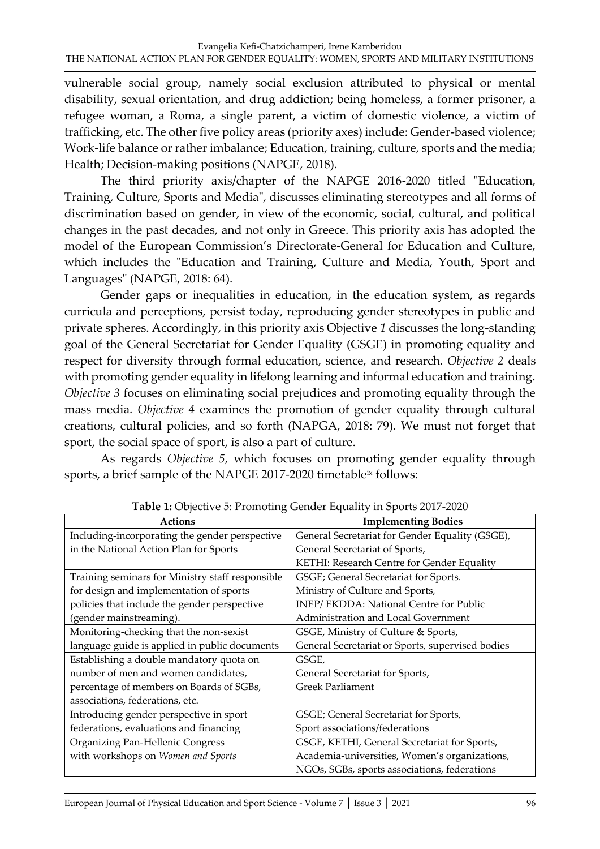vulnerable social group*,* namely social exclusion attributed to physical or mental disability, sexual orientation, and drug addiction; being homeless, a former prisoner, a refugee woman, a Roma, a single parent, a victim of domestic violence, a victim of trafficking, etc. The other five policy areas (priority axes) include: Gender-based violence; Work-life balance or rather imbalance; Education, training, culture, sports and the media; Health; Decision-making positions (NAPGE, 2018).

The third priority axis/chapter of the NAPGE 2016-2020 titled "Education, Training, Culture, Sports and Media", discusses eliminating stereotypes and all forms of discrimination based on gender, in view of the economic, social, cultural, and political changes in the past decades, and not only in Greece. This priority axis has adopted the model of the European Commission's Directorate-General for Education and Culture, which includes the "Education and Training, Culture and Media, Youth, Sport and Languages" (NAPGE, 2018: 64).

Gender gaps or inequalities in education, in the education system, as regards curricula and perceptions, persist today, reproducing gender stereotypes in public and private spheres. Accordingly, in this priority axis Objective *1* discusses the long-standing goal of the General Secretariat for Gender Equality (GSGE) in promoting equality and respect for diversity through formal education, science, and research. *Objective 2* deals with promoting gender equality in lifelong learning and informal education and training. *Objective 3* focuses on eliminating social prejudices and promoting equality through the mass media. *Objective 4* examines the promotion of gender equality through cultural creations, cultural policies, and so forth (NAPGA, 2018: 79). We must not forget that sport, the social space of sport, is also a part of culture.

As regards *Objective 5*, which focuses on promoting gender equality through sports, a brief sample of the NAPGE 2017-2020 timetable<sup>ix</sup> follows:

| <b>Actions</b>                                   | <b>Table 1.</b> Objective 9. I following Octivity Equality in oports 2017 2020<br><b>Implementing Bodies</b> |
|--------------------------------------------------|--------------------------------------------------------------------------------------------------------------|
|                                                  |                                                                                                              |
| Including-incorporating the gender perspective   | General Secretariat for Gender Equality (GSGE),                                                              |
| in the National Action Plan for Sports           | General Secretariat of Sports,                                                                               |
|                                                  | KETHI: Research Centre for Gender Equality                                                                   |
| Training seminars for Ministry staff responsible | GSGE; General Secretariat for Sports.                                                                        |
| for design and implementation of sports          | Ministry of Culture and Sports,                                                                              |
| policies that include the gender perspective     | INEP/EKDDA: National Centre for Public                                                                       |
| (gender mainstreaming).                          | Administration and Local Government                                                                          |
| Monitoring-checking that the non-sexist          | GSGE, Ministry of Culture & Sports,                                                                          |
| language guide is applied in public documents    | General Secretariat or Sports, supervised bodies                                                             |
| Establishing a double mandatory quota on         | GSGE,                                                                                                        |
| number of men and women candidates,              | General Secretariat for Sports,                                                                              |
| percentage of members on Boards of SGBs,         | <b>Greek Parliament</b>                                                                                      |
| associations, federations, etc.                  |                                                                                                              |
| Introducing gender perspective in sport          | GSGE; General Secretariat for Sports,                                                                        |
| federations, evaluations and financing           | Sport associations/federations                                                                               |
| Organizing Pan-Hellenic Congress                 | GSGE, KETHI, General Secretariat for Sports,                                                                 |
| with workshops on Women and Sports               | Academia-universities, Women's organizations,                                                                |
|                                                  | NGOs, SGBs, sports associations, federations                                                                 |

**Table 1:** Objective 5: Promoting Gender Equality in Sports 2017-2020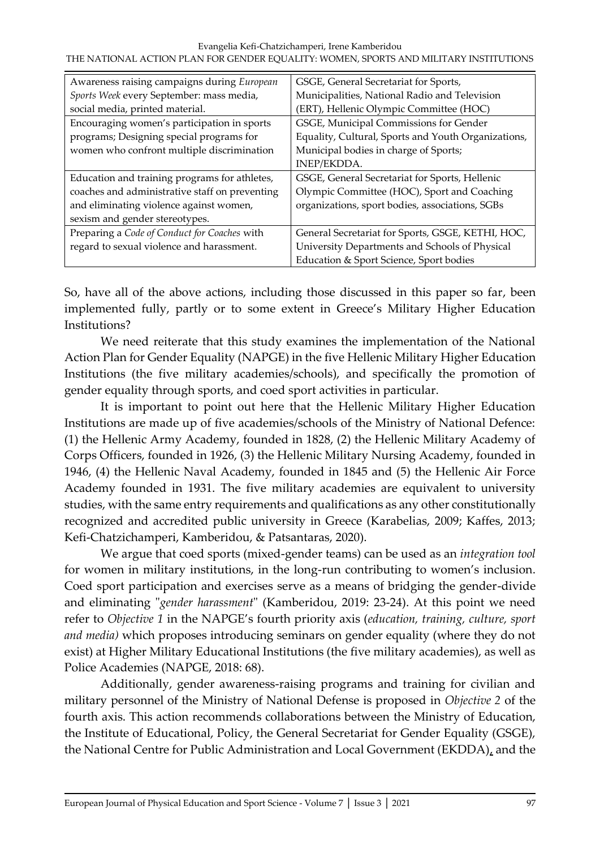| Awareness raising campaigns during European    | GSGE, General Secretariat for Sports,               |
|------------------------------------------------|-----------------------------------------------------|
| Sports Week every September: mass media,       | Municipalities, National Radio and Television       |
| social media, printed material.                | (ERT), Hellenic Olympic Committee (HOC)             |
| Encouraging women's participation in sports    | GSGE, Municipal Commissions for Gender              |
| programs; Designing special programs for       | Equality, Cultural, Sports and Youth Organizations, |
| women who confront multiple discrimination     | Municipal bodies in charge of Sports;               |
|                                                | INEP/EKDDA.                                         |
| Education and training programs for athletes,  | GSGE, General Secretariat for Sports, Hellenic      |
| coaches and administrative staff on preventing | Olympic Committee (HOC), Sport and Coaching         |
| and eliminating violence against women,        | organizations, sport bodies, associations, SGBs     |
| sexism and gender stereotypes.                 |                                                     |
| Preparing a Code of Conduct for Coaches with   | General Secretariat for Sports, GSGE, KETHI, HOC,   |
| regard to sexual violence and harassment.      | University Departments and Schools of Physical      |
|                                                | Education & Sport Science, Sport bodies             |

So, have all of the above actions, including those discussed in this paper so far, been implemented fully, partly or to some extent in Greece's Military Higher Education Institutions?

We need reiterate that this study examines the implementation of the National Action Plan for Gender Equality (NAPGE) in the five Hellenic Military Higher Education Institutions (the five military academies/schools), and specifically the promotion of gender equality through sports, and coed sport activities in particular.

It is important to point out here that the Hellenic Military Higher Education Institutions are made up of five academies/schools of the Ministry of National Defence: (1) the Hellenic Army Academy, founded in 1828, (2) the Hellenic Military Academy of Corps Officers, founded in 1926, (3) the Hellenic Military Nursing Academy, founded in 1946, (4) the Hellenic Naval Academy, founded in 1845 and (5) the Hellenic Air Force Academy founded in 1931. The five military academies are equivalent to university studies, with the same entry requirements and qualifications as any other constitutionally recognized and accredited public university in Greece (Karabelias, 2009; Kaffes, 2013; Kefi-Chatzichamperi, Kamberidou, & Patsantaras, 2020).

We argue that coed sports (mixed-gender teams) can be used as an *integration tool* for women in military institutions, in the long-run contributing to women's inclusion. Coed sport participation and exercises serve as a means of bridging the gender-divide and eliminating "*gender harassment*" (Kamberidou, 2019: 23-24). At this point we need refer to *Objective 1* in the NAPGE's fourth priority axis (*education, training, culture, sport and media)* which proposes introducing seminars on gender equality (where they do not exist) at Higher Military Educational Institutions (the five military academies), as well as Police Academies (NAPGE, 2018: 68).

Additionally, gender awareness-raising programs and training for civilian and military personnel of the Ministry of National Defense is proposed in *Objective 2* of the fourth axis. This action recommends collaborations between the Ministry of Education, the Institute of Educational, Policy, the General Secretariat for Gender Equality (GSGE), the National Centre for Public Administration and Local Government (EKDDA), and the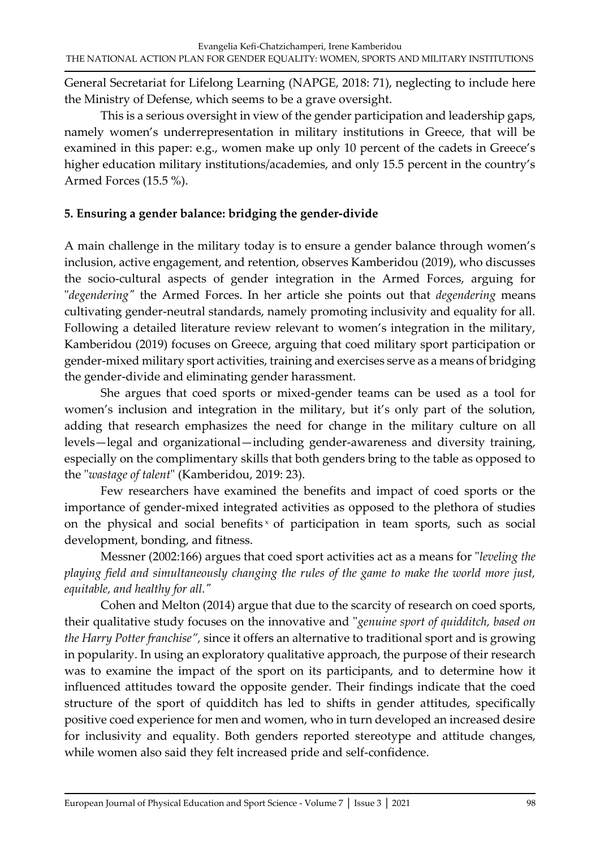General Secretariat for Lifelong Learning (NAPGE, 2018: 71), neglecting to include here the Ministry of Defense, which seems to be a grave oversight.

This is a serious oversight in view of the gender participation and leadership gaps, namely women's underrepresentation in military institutions in Greece, that will be examined in this paper: e.g., women make up only 10 percent of the cadets in Greece's higher education military institutions/academies, and only 15.5 percent in the country's Armed Forces (15.5 %).

# **5. Ensuring a gender balance: bridging the gender-divide**

A main challenge in the military today is to ensure a gender balance through women's inclusion, active engagement, and retention, observes Kamberidou (2019), who discusses the socio-cultural aspects of gender integration in the Armed Forces, arguing for "*degendering"* the Armed Forces. In her article she points out that *degendering* means cultivating gender-neutral standards, namely promoting inclusivity and equality for all. Following a detailed literature review relevant to women's integration in the military, Kamberidou (2019) focuses on Greece, arguing that coed military sport participation or gender-mixed military sport activities, training and exercises serve as a means of bridging the gender-divide and eliminating gender harassment.

She argues that coed sports or mixed-gender teams can be used as a tool for women's inclusion and integration in the military, but it's only part of the solution, adding that research emphasizes the need for change in the military culture on all levels—legal and organizational—including gender-awareness and diversity training, especially on the complimentary skills that both genders bring to the table as opposed to the "*wastage of talent*" (Kamberidou, 2019: 23).

Few researchers have examined the benefits and impact of coed sports or the importance of gender-mixed integrated activities as opposed to the plethora of studies on the physical and social benefits<sup>x</sup> of participation in team sports, such as social development, bonding, and fitness.

Messner (2002:166) argues that coed sport activities act as a means for "*leveling the playing field and simultaneously changing the rules of the game to make the world more just, equitable, and healthy for all."*

Cohen and Melton (2014) argue that due to the scarcity of research on coed sports, their qualitative study focuses on the innovative and "*genuine sport of quidditch, based on the Harry Potter franchise",* since it offers an alternative to traditional sport and is growing in popularity. In using an exploratory qualitative approach, the purpose of their research was to examine the impact of the sport on its participants, and to determine how it influenced attitudes toward the opposite gender. Their findings indicate that the coed structure of the sport of quidditch has led to shifts in gender attitudes, specifically positive coed experience for men and women, who in turn developed an increased desire for inclusivity and equality. Both genders reported stereotype and attitude changes, while women also said they felt increased pride and self-confidence.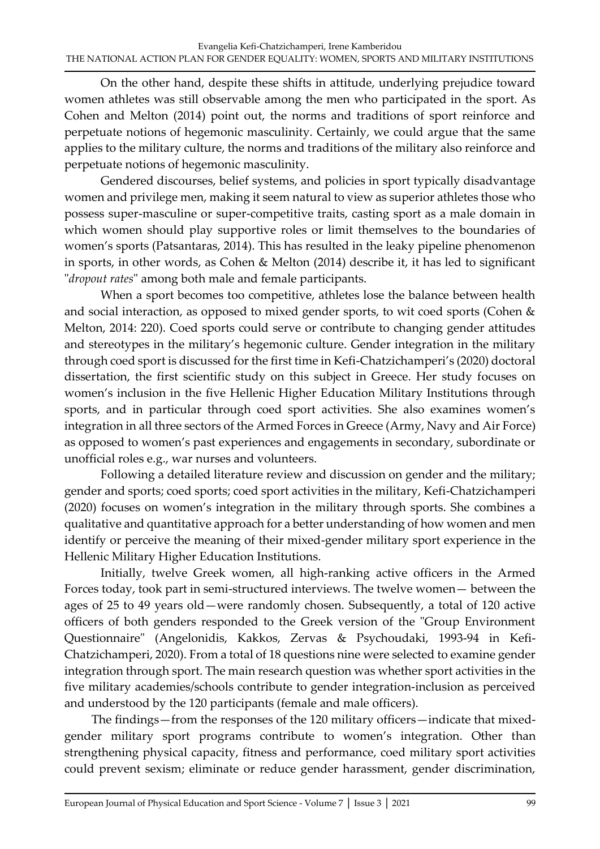On the other hand, despite these shifts in attitude, underlying prejudice toward women athletes was still observable among the men who participated in the sport. As Cohen and Melton (2014) point out, the norms and traditions of sport reinforce and perpetuate notions of hegemonic masculinity. Certainly, we could argue that the same applies to the military culture, the norms and traditions of the military also reinforce and perpetuate notions of hegemonic masculinity.

Gendered discourses, belief systems, and policies in sport typically disadvantage women and privilege men, making it seem natural to view as superior athletes those who possess super-masculine or super-competitive traits, casting sport as a male domain in which women should play supportive roles or limit themselves to the boundaries of women's sports (Patsantaras, 2014). This has resulted in the leaky pipeline phenomenon in sports, in other words, as Cohen & Melton (2014) describe it, it has led to significant "*dropout rates*" among both male and female participants.

When a sport becomes too competitive, athletes lose the balance between health and social interaction, as opposed to mixed gender sports, to wit coed sports (Cohen & Melton, 2014: 220). Coed sports could serve or contribute to changing gender attitudes and stereotypes in the military's hegemonic culture. Gender integration in the military through coed sport is discussed for the first time in Kefi-Chatzichamperi's (2020) doctoral dissertation, the first scientific study on this subject in Greece. Her study focuses on women's inclusion in the five Hellenic Higher Education Military Institutions through sports, and in particular through coed sport activities. She also examines women's integration in all three sectors of the Armed Forces in Greece (Army, Navy and Air Force) as opposed to women's past experiences and engagements in secondary, subordinate or unofficial roles e.g., war nurses and volunteers.

Following a detailed literature review and discussion on gender and the military; gender and sports; coed sports; coed sport activities in the military, Kefi-Chatzichamperi (2020) focuses on women's integration in the military through sports. She combines a qualitative and quantitative approach for a better understanding of how women and men identify or perceive the meaning of their mixed-gender military sport experience in the Hellenic Military Higher Education Institutions.

Initially, twelve Greek women, all high-ranking active officers in the Armed Forces today, took part in semi-structured interviews. The twelve women— between the ages of 25 to 49 years old—were randomly chosen. Subsequently, a total of 120 active officers of both genders responded to the Greek version of the "Group Environment Questionnaire" (Angelonidis, Kakkos, Zervas & Psychoudaki, 1993-94 in Kefi-Chatzichamperi, 2020). From a total of 18 questions nine were selected to examine gender integration through sport. The main research question was whether sport activities in the five military academies/schools contribute to gender integration-inclusion as perceived and understood by the 120 participants (female and male officers).

 The findings—from the responses of the 120 military officers—indicate that mixedgender military sport programs contribute to women's integration. Other than strengthening physical capacity, fitness and performance, coed military sport activities could prevent sexism; eliminate or reduce gender harassment, gender discrimination,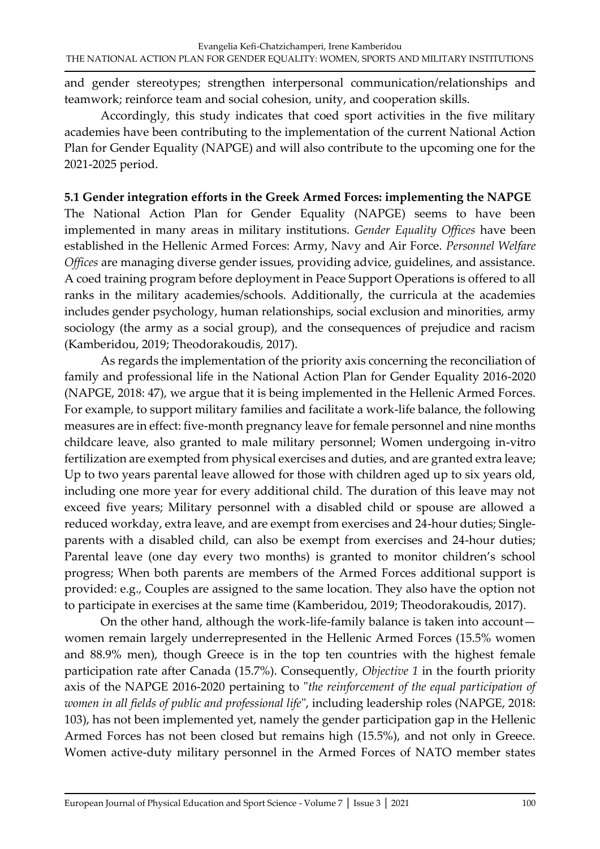and gender stereotypes; strengthen interpersonal communication/relationships and teamwork; reinforce team and social cohesion, unity, and cooperation skills.

Accordingly, this study indicates that coed sport activities in the five military academies have been contributing to the implementation of the current National Action Plan for Gender Equality (NAPGE) and will also contribute to the upcoming one for the 2021-2025 period.

# **5.1 Gender integration efforts in the Greek Armed Forces: implementing the NAPGE**

The National Action Plan for Gender Equality (NAPGE) seems to have been implemented in many areas in military institutions. *Gender Equality Offices* have been established in the Hellenic Armed Forces: Army, Navy and Air Force. *Personnel Welfare Offices* are managing diverse gender issues, providing advice, guidelines, and assistance. A coed training program before deployment in Peace Support Operations is offered to all ranks in the military academies/schools. Additionally, the curricula at the academies includes gender psychology, human relationships, social exclusion and minorities, army sociology (the army as a social group), and the consequences of prejudice and racism (Kamberidou, 2019; Theodorakoudis, 2017).

As regards the implementation of the priority axis concerning the reconciliation of family and professional life in the National Action Plan for Gender Equality 2016-2020 (NAPGE, 2018: 47), we argue that it is being implemented in the Hellenic Armed Forces. For example, to support military families and facilitate a work-life balance, the following measures are in effect: five-month pregnancy leave for female personnel and nine months childcare leave, also granted to male military personnel; Women undergoing in-vitro fertilization are exempted from physical exercises and duties, and are granted extra leave; Up to two years parental leave allowed for those with children aged up to six years old, including one more year for every additional child. The duration of this leave may not exceed five years; Military personnel with a disabled child or spouse are allowed a reduced workday, extra leave, and are exempt from exercises and 24-hour duties; Singleparents with a disabled child, can also be exempt from exercises and 24-hour duties; Parental leave (one day every two months) is granted to monitor children's school progress; When both parents are members of the Armed Forces additional support is provided: e.g., Couples are assigned to the same location. They also have the option not to participate in exercises at the same time (Kamberidou, 2019; Theodorakoudis, 2017).

On the other hand, although the work-life-family balance is taken into account women remain largely underrepresented in the Hellenic Armed Forces (15.5% women and 88.9% men), though Greece is in the top ten countries with the highest female participation rate after Canada (15.7%). Consequently, *Objective 1* in the fourth priority axis of the NAPGE 2016-2020 pertaining to "*the reinforcement of the equal participation of women in all fields of public and professional life*", including leadership roles (NAPGE, 2018: 103), has not been implemented yet, namely the gender participation gap in the Hellenic Armed Forces has not been closed but remains high (15.5%), and not only in Greece. Women active-duty military personnel in the Armed Forces of NATO member states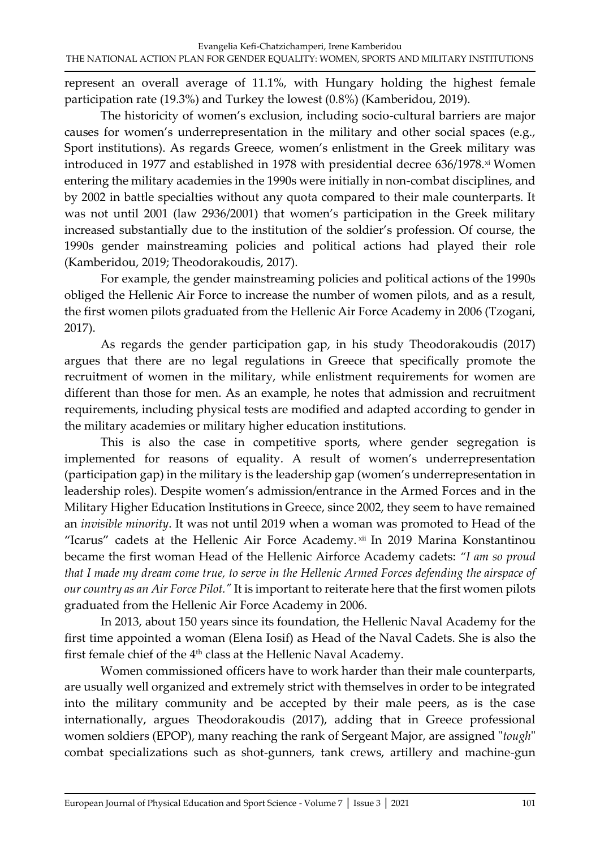represent an overall average of 11.1%, with Hungary holding the highest female participation rate (19.3%) and Turkey the lowest (0.8%) (Kamberidou, 2019).

The historicity of women's exclusion, including socio-cultural barriers are major causes for women's underrepresentation in the military and other social spaces (e.g., Sport institutions). As regards Greece, women's enlistment in the Greek military was introduced in 1977 and established in 1978 with presidential decree 636/1978.xi Women entering the military academies in the 1990s were initially in non-combat disciplines, and by 2002 in battle specialties without any quota compared to their male counterparts. It was not until 2001 (law 2936/2001) that women's participation in the Greek military increased substantially due to the institution of the soldier's profession. Of course, the 1990s gender mainstreaming policies and political actions had played their role (Kamberidou, 2019; Theodorakoudis, 2017).

For example, the gender mainstreaming policies and political actions of the 1990s obliged the Hellenic Air Force to increase the number of women pilots, and as a result, the first women pilots graduated from the Hellenic Air Force Academy in 2006 (Tzogani, 2017).

As regards the gender participation gap, in his study Theodorakoudis (2017) argues that there are no legal regulations in Greece that specifically promote the recruitment of women in the military, while enlistment requirements for women are different than those for men. As an example, he notes that admission and recruitment requirements, including physical tests are modified and adapted according to gender in the military academies or military higher education institutions.

This is also the case in competitive sports, where gender segregation is implemented for reasons of equality. A result of women's underrepresentation (participation gap) in the military is the leadership gap (women's underrepresentation in leadership roles). Despite women's admission/entrance in the Armed Forces and in the Military Higher Education Institutions in Greece, since 2002, they seem to have remained an *invisible minority*. It was not until 2019 when a woman was promoted to Head of the "Icarus" cadets at the Hellenic Air Force Academy.xii In 2019 Marina Konstantinou became the first woman Head of the Hellenic Airforce Academy cadets: *"I am so proud that I made my dream come true, to serve in the Hellenic Armed Forces defending the airspace of our country as an Air Force Pilot."* It is important to reiterate here that the first women pilots graduated from the Hellenic Air Force Academy in 2006.

In 2013, about 150 years since its foundation, the Hellenic Naval Academy for the first time appointed a woman (Elena Iosif) as Head of the Naval Cadets. She is also the first female chief of the 4<sup>th</sup> class at the Hellenic Naval Academy.

Women commissioned officers have to work harder than their male counterparts, are usually well organized and extremely strict with themselves in order to be integrated into the military community and be accepted by their male peers, as is the case internationally, argues Theodorakoudis (2017), adding that in Greece professional women soldiers (EPOP), many reaching the rank of Sergeant Major, are assigned "*tough*" combat specializations such as shot-gunners, tank crews, artillery and machine-gun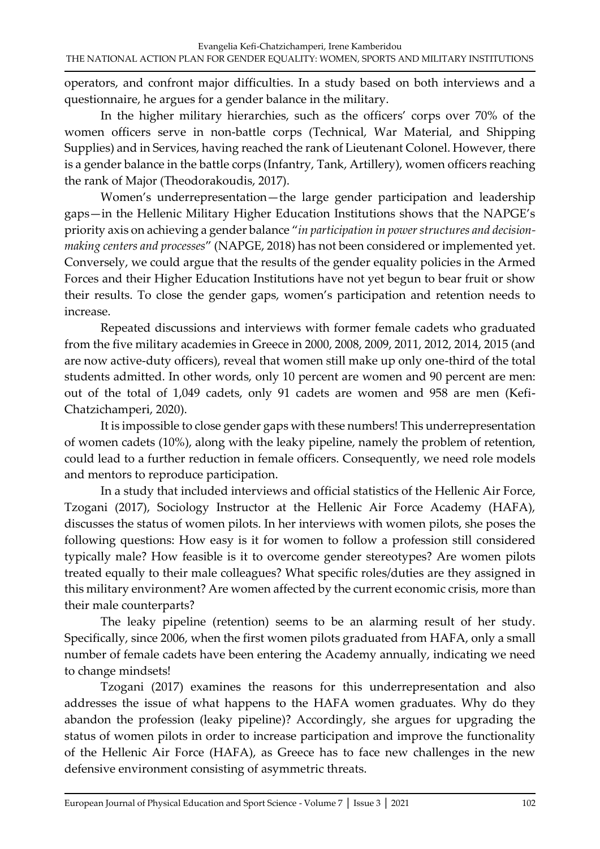operators, and confront major difficulties. In a study based on both interviews and a questionnaire, he argues for a gender balance in the military.

In the higher military hierarchies, such as the officers' corps over 70% of the women officers serve in non-battle corps (Technical, War Material, and Shipping Supplies) and in Services, having reached the rank of Lieutenant Colonel. However, there is a gender balance in the battle corps (Infantry, Tank, Artillery), women officers reaching the rank of Major (Theodorakoudis, 2017).

Women's underrepresentation—the large gender participation and leadership gaps—in the Hellenic Military Higher Education Institutions shows that the NAPGE's priority axis on achieving a gender balance "*in participation in power structures and decisionmaking centers and processes*" (NAPGE, 2018) has not been considered or implemented yet. Conversely, we could argue that the results of the gender equality policies in the Armed Forces and their Higher Education Institutions have not yet begun to bear fruit or show their results. To close the gender gaps, women's participation and retention needs to increase.

Repeated discussions and interviews with former female cadets who graduated from the five military academies in Greece in 2000, 2008, 2009, 2011, 2012, 2014, 2015 (and are now active-duty officers), reveal that women still make up only one-third of the total students admitted. In other words, only 10 percent are women and 90 percent are men: out of the total of 1,049 cadets, only 91 cadets are women and 958 are men (Kefi-Chatzichamperi, 2020).

It is impossible to close gender gaps with these numbers! This underrepresentation of women cadets (10%), along with the leaky pipeline, namely the problem of retention, could lead to a further reduction in female officers. Consequently, we need role models and mentors to reproduce participation.

In a study that included interviews and official statistics of the Hellenic Air Force, Tzogani (2017), Sociology Instructor at the Hellenic Air Force Academy (HAFA), discusses the status of women pilots. In her interviews with women pilots, she poses the following questions: How easy is it for women to follow a profession still considered typically male? How feasible is it to overcome gender stereotypes? Are women pilots treated equally to their male colleagues? What specific roles/duties are they assigned in this military environment? Are women affected by the current economic crisis, more than their male counterparts?

The leaky pipeline (retention) seems to be an alarming result of her study. Specifically, since 2006, when the first women pilots graduated from HAFA, only a small number of female cadets have been entering the Academy annually, indicating we need to change mindsets!

Tzogani (2017) examines the reasons for this underrepresentation and also addresses the issue of what happens to the HAFA women graduates. Why do they abandon the profession (leaky pipeline)? Accordingly, she argues for upgrading the status of women pilots in order to increase participation and improve the functionality of the Hellenic Air Force (HAFA), as Greece has to face new challenges in the new defensive environment consisting of asymmetric threats.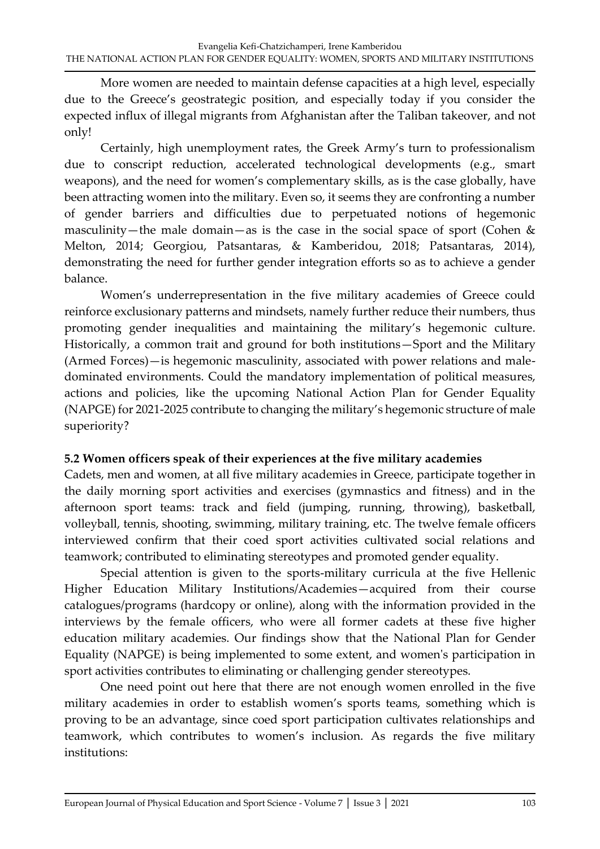More women are needed to maintain defense capacities at a high level, especially due to the Greece's geostrategic position, and especially today if you consider the expected influx of illegal migrants from Afghanistan after the Taliban takeover, and not only!

Certainly, high unemployment rates, the Greek Army's turn to professionalism due to conscript reduction, accelerated technological developments (e.g., smart weapons), and the need for women's complementary skills, as is the case globally, have been attracting women into the military. Even so, it seems they are confronting a number of gender barriers and difficulties due to perpetuated notions of hegemonic masculinity—the male domain—as is the case in the social space of sport (Cohen  $&$ Melton, 2014; Georgiou, Patsantaras, & Kamberidou, 2018; Patsantaras, 2014), demonstrating the need for further gender integration efforts so as to achieve a gender balance.

Women's underrepresentation in the five military academies of Greece could reinforce exclusionary patterns and mindsets, namely further reduce their numbers, thus promoting gender inequalities and maintaining the military's hegemonic culture. Historically, a common trait and ground for both institutions—Sport and the Military (Armed Forces)—is hegemonic masculinity, associated with power relations and maledominated environments. Could the mandatory implementation of political measures, actions and policies, like the upcoming National Action Plan for Gender Equality (NAPGE) for 2021-2025 contribute to changing the military's hegemonic structure of male superiority?

#### **5.2 Women officers speak of their experiences at the five military academies**

Cadets, men and women, at all five military academies in Greece, participate together in the daily morning sport activities and exercises (gymnastics and fitness) and in the afternoon sport teams: track and field (jumping, running, throwing), basketball, volleyball, tennis, shooting, swimming, military training, etc. The twelve female officers interviewed confirm that their coed sport activities cultivated social relations and teamwork; contributed to eliminating stereotypes and promoted gender equality.

Special attention is given to the sports-military curricula at the five Hellenic Higher Education Military Institutions/Academies—acquired from their course catalogues/programs (hardcopy or online), along with the information provided in the interviews by the female officers, who were all former cadets at these five higher education military academies. Our findings show that the National Plan for Gender Equality (NAPGE) is being implemented to some extent, and women's participation in sport activities contributes to eliminating or challenging gender stereotypes.

One need point out here that there are not enough women enrolled in the five military academies in order to establish women's sports teams, something which is proving to be an advantage, since coed sport participation cultivates relationships and teamwork, which contributes to women's inclusion. As regards the five military institutions: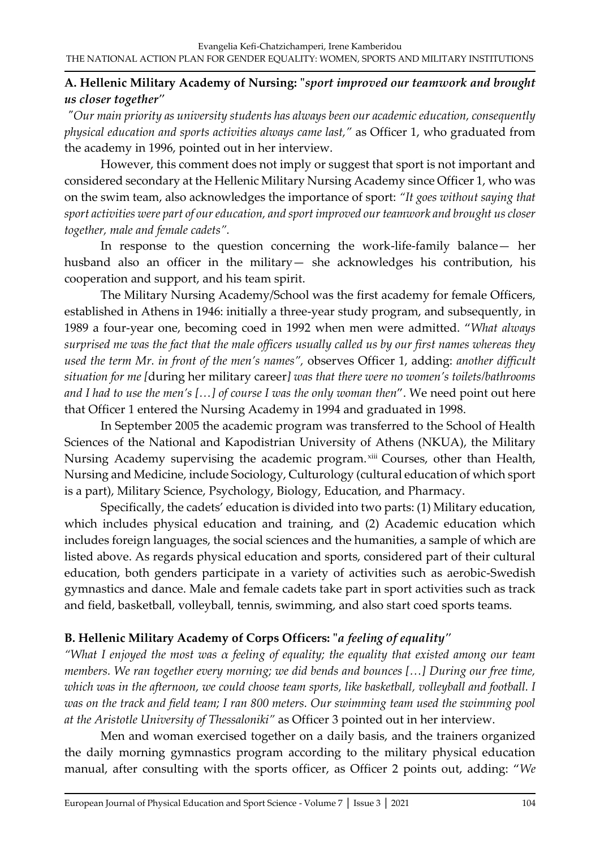# **A. Hellenic Military Academy of Nursing: "***sport improved our teamwork and brought us closer together"*

*"Our main priority as university students has always been our academic education, consequently physical education and sports activities always came last,"* as Officer 1, who graduated from the academy in 1996, pointed out in her interview.

However, this comment does not imply or suggest that sport is not important and considered secondary at the Hellenic Military Nursing Academy since Officer 1, who was on the swim team, also acknowledges the importance of sport: *"It goes without saying that sport activities were part of our education, and sport improved our teamwork and brought us closer together, male and female cadets".* 

In response to the question concerning the work-life-family balance— her husband also an officer in the military— she acknowledges his contribution, his cooperation and support, and his team spirit.

The Military Nursing Academy/School was the first academy for female Officers, established in Athens in 1946: initially a three-year study program, and subsequently, in 1989 a four-year one, becoming coed in 1992 when men were admitted. "*What always surprised me was the fact that the male officers usually called us by our first names whereas they used the term Mr. in front of the men's names",* observes Officer 1, adding: *another difficult situation for me [*during her military career*] was that there were no women's toilets/bathrooms and I had to use the men's […] of course I was the only woman then*". We need point out here that Officer 1 entered the Nursing Academy in 1994 and graduated in 1998.

In September 2005 the academic program was transferred to the School of Health Sciences of the National and Kapodistrian University of Athens (NKUA), the Military Nursing Academy supervising the academic program. xiii Courses, other than Health, Nursing and Medicine, include Sociology, Culturology (cultural education of which sport is a part), Military Science, Psychology, Biology, Education, and Pharmacy.

Specifically, the cadets' education is divided into two parts: (1) Military education, which includes physical education and training, and (2) Academic education which includes foreign languages, the social sciences and the humanities, a sample of which are listed above. As regards physical education and sports, considered part of their cultural education, both genders participate in a variety of activities such as aerobic-Swedish gymnastics and dance. Male and female cadets take part in sport activities such as track and field, basketball, volleyball, tennis, swimming, and also start coed sports teams.

# **B. Hellenic Military Academy of Corps Officers: "***a feeling of equality"*

*"What I enjoyed the most was α feeling of equality; the equality that existed among our team members. We ran together every morning; we did bends and bounces […] During our free time, which was in the afternoon, we could choose team sports, like basketball, volleyball and football. I was on the track and field team; I ran 800 meters. Our swimming team used the swimming pool at the Aristotle University of Thessaloniki"* as Officer 3 pointed out in her interview.

Men and woman exercised together on a daily basis, and the trainers organized the daily morning gymnastics program according to the military physical education manual, after consulting with the sports officer, as Officer 2 points out, adding: "*We*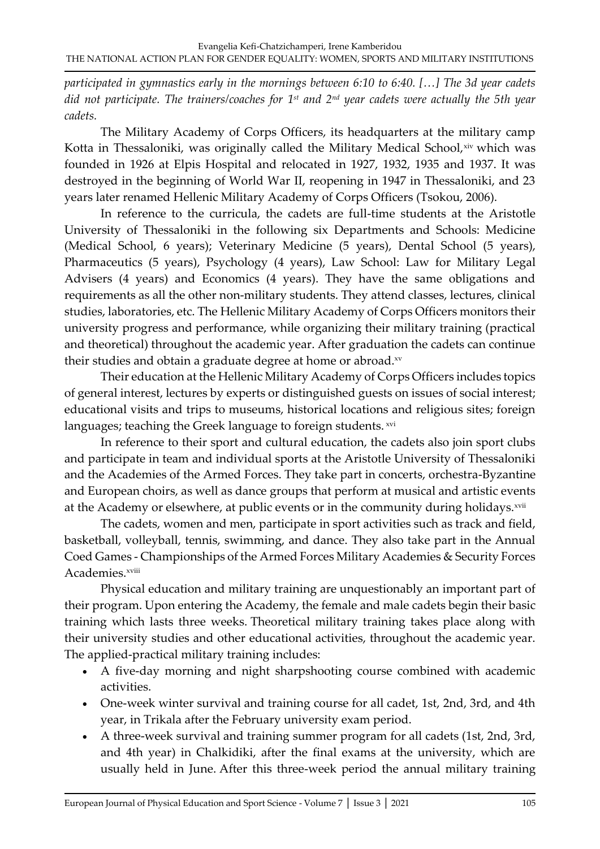*participated in gymnastics early in the mornings between 6:10 to 6:40. […] The 3d year cadets did not participate. The trainers/coaches for 1st and 2nd year cadets were actually the 5th year cadets.* 

The Military Academy of Corps Officers, its headquarters at the military camp Kotta in Thessaloniki, was originally called the Military Medical School, xiv which was founded in 1926 at Elpis Hospital and relocated in 1927, 1932, 1935 and 1937. It was destroyed in the beginning of World War II, reopening in 1947 in Thessaloniki, and 23 years later renamed Hellenic Military Academy of Corps Officers (Tsokou, 2006).

In reference to the curricula, the cadets are full-time students at the Aristotle University of Thessaloniki in the following six Departments and Schools: Medicine (Medical School, 6 years); Veterinary Medicine (5 years), Dental School (5 years), Pharmaceutics (5 years), Psychology (4 years), Law School: Law for Military Legal Advisers (4 years) and Economics (4 years). They have the same obligations and requirements as all the other non-military students. They attend classes, lectures, clinical studies, laboratories, etc. The Hellenic Military Academy of Corps Officers monitors their university progress and performance, while organizing their military training (practical and theoretical) throughout the academic year. After graduation the cadets can continue their studies and obtain a graduate degree at home or abroad.xv

Their education at the Hellenic Military Academy of Corps Officers includes topics of general interest, lectures by experts or distinguished guests on issues of social interest; educational visits and trips to museums, historical locations and religious sites; foreign languages; teaching the Greek language to foreign students. xvi

In reference to their sport and cultural education, the cadets also join sport clubs and participate in team and individual sports at the Aristotle University of Thessaloniki and the Academies of the Armed Forces. They take part in concerts, orchestra-Byzantine and European choirs, as well as dance groups that perform at musical and artistic events at the Academy or elsewhere, at public events or in the community during holidays.<sup>xvii</sup>

The cadets, women and men, participate in sport activities such as track and field, basketball, volleyball, tennis, swimming, and dance. They also take part in the Annual Coed Games - Championships of the Armed Forces Military Academies & Security Forces Academies.<sup>xviii</sup>

Physical education and military training are unquestionably an important part of their program. Upon entering the Academy, the female and male cadets begin their basic training which lasts three weeks. Theoretical military training takes place along with their university studies and other educational activities, throughout the academic year. The applied-practical military training includes:

- A five-day morning and night sharpshooting course combined with academic activities.
- One-week winter survival and training course for all cadet, 1st, 2nd, 3rd, and 4th year, in Trikala after the February university exam period.
- A three-week survival and training summer program for all cadets (1st, 2nd, 3rd, and 4th year) in Chalkidiki, after the final exams at the university, which are usually held in June. After this three-week period the annual military training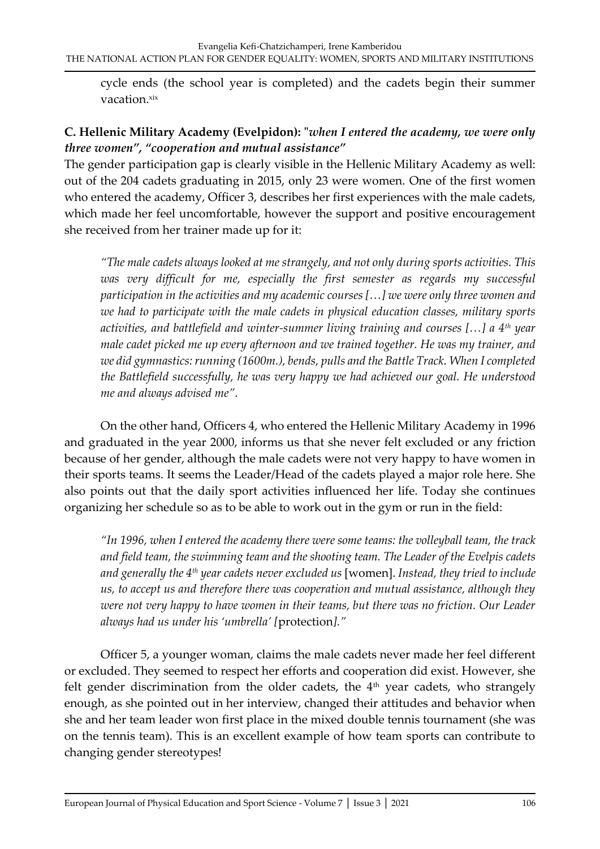cycle ends (the school year is completed) and the cadets begin their summer vacation.xix

# **C. Hellenic Military Academy (Evelpidon): "***when I entered the academy, we were only three women", "cooperation and mutual assistance"*

The gender participation gap is clearly visible in the Hellenic Military Academy as well: out of the 204 cadets graduating in 2015, only 23 were women. One of the first women who entered the academy, Officer 3, describes her first experiences with the male cadets, which made her feel uncomfortable, however the support and positive encouragement she received from her trainer made up for it:

*"The male cadets always looked at me strangely, and not only during sports activities. This was very difficult for me, especially the first semester as regards my successful participation in the activities and my academic courses […] we were only three women and we had to participate with the male cadets in physical education classes, military sports activities, and battlefield and winter-summer living training and courses […] a 4th year male cadet picked me up every afternoon and we trained together. He was my trainer, and we did gymnastics: running (1600m.), bends, pulls and the Battle Track. When I completed the Battlefield successfully, he was very happy we had achieved our goal. He understood me and always advised me"*.

On the other hand, Officers 4, who entered the Hellenic Military Academy in 1996 and graduated in the year 2000, informs us that she never felt excluded or any friction because of her gender, although the male cadets were not very happy to have women in their sports teams. It seems the Leader/Head of the cadets played a major role here. She also points out that the daily sport activities influenced her life. Today she continues organizing her schedule so as to be able to work out in the gym or run in the field:

*"In 1996, when I entered the academy there were some teams: the volleyball team, the track and field team, the swimming team and the shooting team. The Leader of the Evelpis cadets and generally the 4th year cadets never excluded us* [women]. *Instead, they tried to include us, to accept us and therefore there was cooperation and mutual assistance, although they were not very happy to have women in their teams, but there was no friction. Our Leader always had us under his 'umbrella' [*protection*]."* 

Officer 5, a younger woman, claims the male cadets never made her feel different or excluded. They seemed to respect her efforts and cooperation did exist. However, she felt gender discrimination from the older cadets, the 4<sup>th</sup> year cadets, who strangely enough, as she pointed out in her interview, changed their attitudes and behavior when she and her team leader won first place in the mixed double tennis tournament (she was on the tennis team). This is an excellent example of how team sports can contribute to changing gender stereotypes!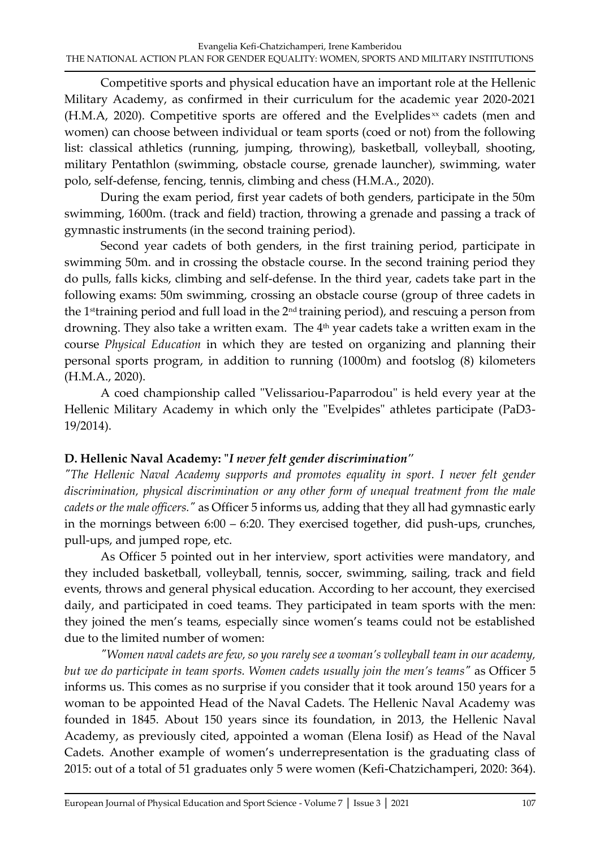Competitive sports and physical education have an important role at the Hellenic Military Academy, as confirmed in their curriculum for the academic year 2020-2021  $(H.M.A, 2020)$ . Competitive sports are offered and the Evelplides<sup>xx</sup> cadets (men and women) can choose between individual or team sports (coed or not) from the following list: classical athletics (running, jumping, throwing), basketball, volleyball, shooting, military Pentathlon (swimming, obstacle course, grenade launcher), swimming, water polo, self-defense, fencing, tennis, climbing and chess (H.M.A., 2020).

During the exam period, first year cadets of both genders, participate in the 50m swimming, 1600m. (track and field) traction, throwing a grenade and passing a track of gymnastic instruments (in the second training period).

Second year cadets of both genders, in the first training period, participate in swimming 50m. and in crossing the obstacle course. In the second training period they do pulls, falls kicks, climbing and self-defense. In the third year, cadets take part in the following exams: 50m swimming, crossing an obstacle course (group of three cadets in the 1<sup>st</sup>training period and full load in the 2<sup>nd</sup> training period), and rescuing a person from drowning. They also take a written exam. The  $4<sup>th</sup>$  year cadets take a written exam in the course *Physical Education* in which they are tested on organizing and planning their personal sports program, in addition to running (1000m) and footslog (8) kilometers (H.M.A., 2020).

A coed championship called "Velissariou-Paparrodou" is held every year at the Hellenic Military Academy in which only the "Evelpides" athletes participate (PaD3- 19/2014).

#### **D. Hellenic Naval Academy: "***I never felt gender discrimination"*

*"The Hellenic Naval Academy supports and promotes equality in sport. I never felt gender discrimination, physical discrimination or any other form of unequal treatment from the male cadets or the male officers."* as Officer 5 informs us, adding that they all had gymnastic early in the mornings between 6:00 – 6:20. They exercised together, did push-ups, crunches, pull-ups, and jumped rope, etc.

As Officer 5 pointed out in her interview, sport activities were mandatory, and they included basketball, volleyball, tennis, soccer, swimming, sailing, track and field events, throws and general physical education*.* According to her account, they exercised daily, and participated in coed teams. They participated in team sports with the men: they joined the men's teams, especially since women's teams could not be established due to the limited number of women:

*"Women naval cadets are few, so you rarely see a woman's volleyball team in our academy, but we do participate in team sports. Women cadets usually join the men's teams"* as Officer 5 informs us. This comes as no surprise if you consider that it took around 150 years for a woman to be appointed Head of the Naval Cadets. The Hellenic Naval Academy was founded in 1845. About 150 years since its foundation, in 2013, the Hellenic Naval Academy, as previously cited, appointed a woman (Elena Iosif) as Head of the Naval Cadets. Another example of women's underrepresentation is the graduating class of 2015: out of a total of 51 graduates only 5 were women (Kefi-Chatzichamperi, 2020: 364).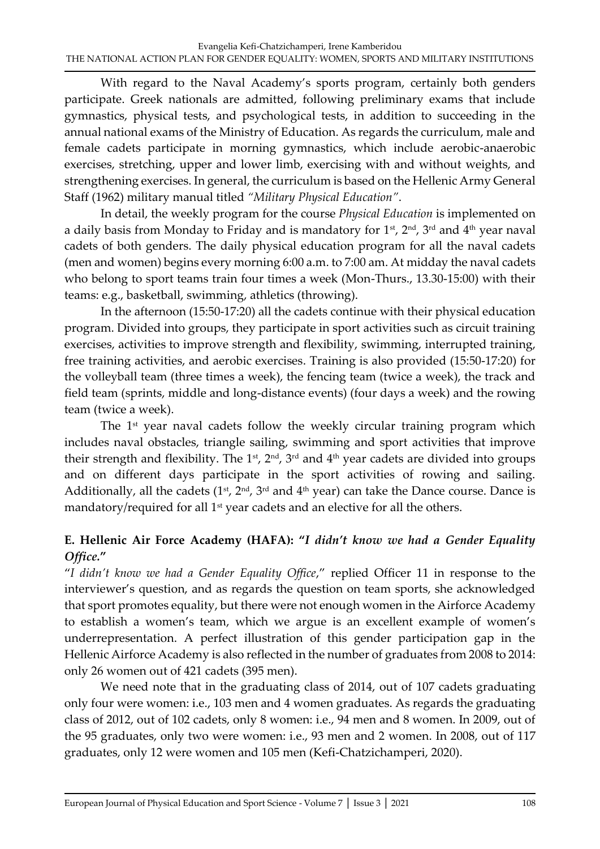With regard to the Naval Academy's sports program, certainly both genders participate. Greek nationals are admitted, following preliminary exams that include gymnastics, physical tests, and psychological tests, in addition to succeeding in the annual national exams of the Ministry of Education. As regards the curriculum, male and female cadets participate in morning gymnastics, which include aerobic-anaerobic exercises, stretching, upper and lower limb, exercising with and without weights, and strengthening exercises. In general, the curriculum is based on the Hellenic Army General Staff (1962) military manual titled *"Military Physical Education"*.

In detail, the weekly program for the course *Physical Education* is implemented on a daily basis from Monday to Friday and is mandatory for  $1<sup>st</sup>$ ,  $2<sup>nd</sup>$ ,  $3<sup>rd</sup>$  and  $4<sup>th</sup>$  year naval cadets of both genders. The daily physical education program for all the naval cadets (men and women) begins every morning 6:00 a.m. to 7:00 am. At midday the naval cadets who belong to sport teams train four times a week (Mon-Thurs., 13.30-15:00) with their teams: e.g., basketball, swimming, athletics (throwing).

In the afternoon (15:50-17:20) all the cadets continue with their physical education program. Divided into groups, they participate in sport activities such as circuit training exercises, activities to improve strength and flexibility, swimming, interrupted training, free training activities, and aerobic exercises. Training is also provided (15:50-17:20) for the volleyball team (three times a week), the fencing team (twice a week), the track and field team (sprints, middle and long-distance events) (four days a week) and the rowing team (twice a week).

The 1<sup>st</sup> year naval cadets follow the weekly circular training program which includes naval obstacles, triangle sailing, swimming and sport activities that improve their strength and flexibility. The 1<sup>st</sup>, 2<sup>nd</sup>, 3<sup>rd</sup> and 4<sup>th</sup> year cadets are divided into groups and on different days participate in the sport activities of rowing and sailing. Additionally, all the cadets  $(1^{st}, 2^{nd}, 3^{rd}$  and  $4^{th}$  year) can take the Dance course. Dance is mandatory/required for all 1<sup>st</sup> year cadets and an elective for all the others.

# **E. Hellenic Air Force Academy (HAFA): "***I didn't know we had a Gender Equality Office.***"**

"*I didn't know we had a Gender Equality Office*," replied Officer 11 in response to the interviewer's question, and as regards the question on team sports, she acknowledged that sport promotes equality, but there were not enough women in the Airforce Academy to establish a women's team, which we argue is an excellent example of women's underrepresentation. A perfect illustration of this gender participation gap in the Hellenic Airforce Academy is also reflected in the number of graduates from 2008 to 2014: only 26 women out of 421 cadets (395 men).

We need note that in the graduating class of 2014, out of 107 cadets graduating only four were women: i.e., 103 men and 4 women graduates. As regards the graduating class of 2012, out of 102 cadets, only 8 women: i.e., 94 men and 8 women. In 2009, out of the 95 graduates, only two were women: i.e., 93 men and 2 women. In 2008, out of 117 graduates, only 12 were women and 105 men (Kefi-Chatzichamperi, 2020).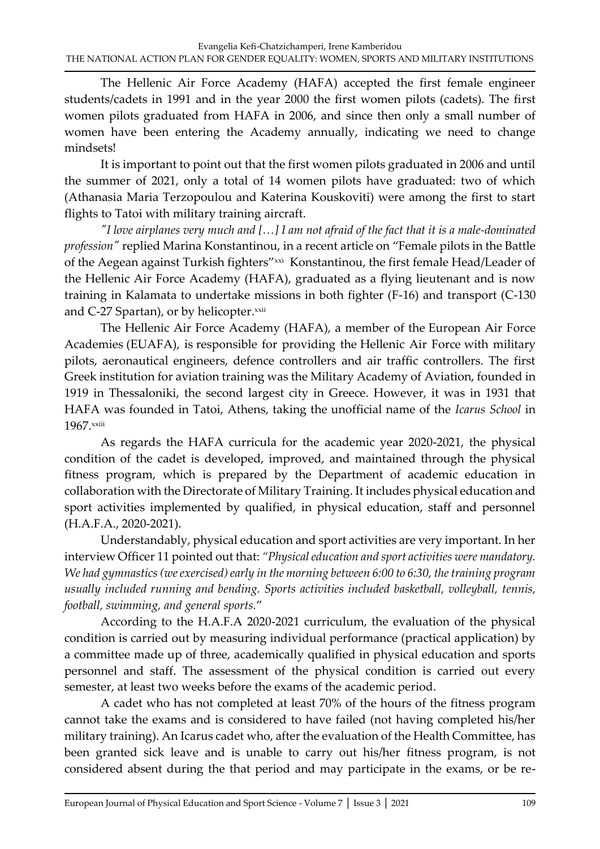The Hellenic Air Force Academy (HAFA) accepted the first female engineer students/cadets in 1991 and in the year 2000 the first women pilots (cadets). The first women pilots graduated from HAFA in 2006, and since then only a small number of women have been entering the Academy annually, indicating we need to change mindsets!

It is important to point out that the first women pilots graduated in 2006 and until the summer of 2021, only a total of 14 women pilots have graduated: two of which (Athanasia Maria Terzopoulou and Katerina Kouskoviti) were among the first to start flights to Tatoi with military training aircraft.

*"I love airplanes very much and […] I am not afraid of the fact that it is a male-dominated profession"* replied Marina Konstantinou, in a recent article on "Female pilots in the Battle of the Aegean against Turkish fighters"xxi Konstantinou, the first female Head/Leader of the Hellenic Air Force Academy (HAFA), graduated as a flying lieutenant and is now training in Kalamata to undertake missions in both fighter (F-16) and transport (C-130 and C-27 Spartan), or by helicopter.<sup>xxii</sup>

The Hellenic Air Force Academy (HAFA), a member of the European Air Force Academies (EUAFA), is responsible for providing the Hellenic Air Force with military pilots, aeronautical engineers, defence controllers and air traffic controllers. The first Greek institution for aviation training was the Military Academy of Aviation, founded in 1919 in Thessaloniki, the second largest city in Greece. However, it was in 1931 that HAFA was founded in Tatoi, Athens, taking the unofficial name of the *Icarus School* in 1967.xxiii

As regards the HAFA curricula for the academic year 2020-2021, the physical condition of the cadet is developed, improved, and maintained through the physical fitness program, which is prepared by the Department of academic education in collaboration with the Directorate of Military Training. It includes physical education and sport activities implemented by qualified, in physical education, staff and personnel (Η.A.F.A., 2020-2021).

Understandably, physical education and sport activities are very important. In her interview Officer 11 pointed out that: *"Physical education and sport activities were mandatory. We had gymnastics (we exercised) early in the morning between 6:00 to 6:30, the training program usually included running and bending. Sports activities included basketball, volleyball, tennis, football, swimming, and general sports.*"

According to the H.A.F.A 2020-2021 curriculum, the evaluation of the physical condition is carried out by measuring individual performance (practical application) by a committee made up of three, academically qualified in physical education and sports personnel and staff. The assessment of the physical condition is carried out every semester, at least two weeks before the exams of the academic period.

A cadet who has not completed at least 70% of the hours of the fitness program cannot take the exams and is considered to have failed (not having completed his/her military training). An Icarus cadet who, after the evaluation of the Health Committee, has been granted sick leave and is unable to carry out his/her fitness program, is not considered absent during the that period and may participate in the exams, or be re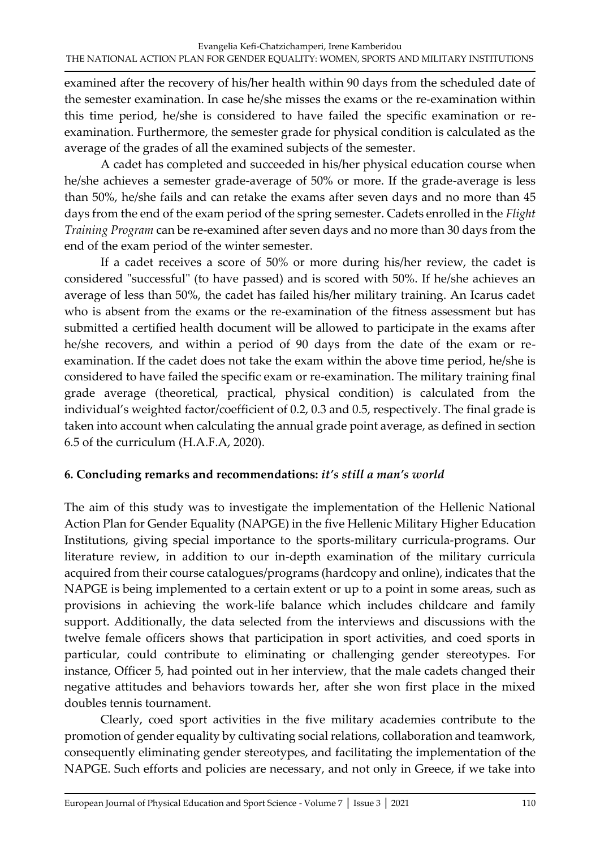examined after the recovery of his/her health within 90 days from the scheduled date of the semester examination. In case he/she misses the exams or the re-examination within this time period, he/she is considered to have failed the specific examination or reexamination. Furthermore, the semester grade for physical condition is calculated as the average of the grades of all the examined subjects of the semester.

A cadet has completed and succeeded in his/her physical education course when he/she achieves a semester grade-average of 50% or more. If the grade-average is less than 50%, he/she fails and can retake the exams after seven days and no more than 45 days from the end of the exam period of the spring semester. Cadets enrolled in the *Flight Training Program* can be re-examined after seven days and no more than 30 days from the end of the exam period of the winter semester.

If a cadet receives a score of 50% or more during his/her review, the cadet is considered "successful" (to have passed) and is scored with 50%. If he/she achieves an average of less than 50%, the cadet has failed his/her military training. An Icarus cadet who is absent from the exams or the re-examination of the fitness assessment but has submitted a certified health document will be allowed to participate in the exams after he/she recovers, and within a period of 90 days from the date of the exam or reexamination. If the cadet does not take the exam within the above time period, he/she is considered to have failed the specific exam or re-examination. The military training final grade average (theoretical, practical, physical condition) is calculated from the individual's weighted factor/coefficient of 0.2, 0.3 and 0.5, respectively. The final grade is taken into account when calculating the annual grade point average, as defined in section 6.5 of the curriculum (H.A.F.A, 2020).

# **6. Concluding remarks and recommendations:** *it's still a man's world*

The aim of this study was to investigate the implementation of the Hellenic National Action Plan for Gender Equality (NAPGE) in the five Hellenic Military Higher Education Institutions, giving special importance to the sports-military curricula-programs. Our literature review, in addition to our in-depth examination of the military curricula acquired from their course catalogues/programs (hardcopy and online), indicates that the NAPGE is being implemented to a certain extent or up to a point in some areas, such as provisions in achieving the work-life balance which includes childcare and family support. Additionally, the data selected from the interviews and discussions with the twelve female officers shows that participation in sport activities, and coed sports in particular, could contribute to eliminating or challenging gender stereotypes. For instance, Officer 5, had pointed out in her interview, that the male cadets changed their negative attitudes and behaviors towards her, after she won first place in the mixed doubles tennis tournament.

Clearly, coed sport activities in the five military academies contribute to the promotion of gender equality by cultivating social relations, collaboration and teamwork, consequently eliminating gender stereotypes, and facilitating the implementation of the NAPGE. Such efforts and policies are necessary, and not only in Greece, if we take into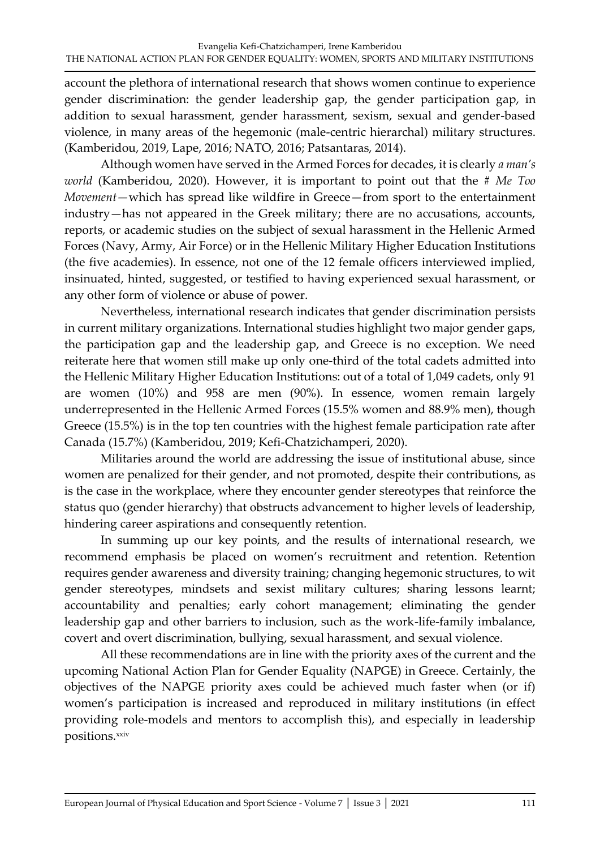account the plethora of international research that shows women continue to experience gender discrimination: the gender leadership gap, the gender participation gap, in addition to sexual harassment, gender harassment, sexism, sexual and gender-based violence, in many areas of the hegemonic (male-centric hierarchal) military structures. (Kamberidou, 2019, Lape, 2016; NATO, 2016; Patsantaras, 2014).

Although women have served in the Armed Forces for decades, it is clearly *a man's world* (Kamberidou, 2020). However, it is important to point out that the # *Me Too Movement—*which has spread like wildfire in Greece—from sport to the entertainment industry—has not appeared in the Greek military; there are no accusations, accounts, reports, or academic studies on the subject of sexual harassment in the Hellenic Armed Forces (Navy, Army, Air Force) or in the Hellenic Military Higher Education Institutions (the five academies). In essence, not one of the 12 female officers interviewed implied, insinuated, hinted, suggested, or testified to having experienced sexual harassment, or any other form of violence or abuse of power.

Nevertheless, international research indicates that gender discrimination persists in current military organizations. International studies highlight two major gender gaps, the participation gap and the leadership gap, and Greece is no exception. We need reiterate here that women still make up only one-third of the total cadets admitted into the Hellenic Military Higher Education Institutions: out of a total of 1,049 cadets, only 91 are women (10%) and 958 are men (90%). In essence, women remain largely underrepresented in the Hellenic Armed Forces (15.5% women and 88.9% men), though Greece (15.5%) is in the top ten countries with the highest female participation rate after Canada (15.7%) (Kamberidou, 2019; Kefi-Chatzichamperi, 2020).

Militaries around the world are addressing the issue of institutional abuse, since women are penalized for their gender, and not promoted, despite their contributions, as is the case in the workplace, where they encounter gender stereotypes that reinforce the status quo (gender hierarchy) that obstructs advancement to higher levels of leadership, hindering career aspirations and consequently retention.

In summing up our key points, and the results of international research, we recommend emphasis be placed on women's recruitment and retention. Retention requires gender awareness and diversity training; changing hegemonic structures, to wit gender stereotypes, mindsets and sexist military cultures; sharing lessons learnt; accountability and penalties; early cohort management; eliminating the gender leadership gap and other barriers to inclusion, such as the work-life-family imbalance, covert and overt discrimination, bullying, sexual harassment, and sexual violence.

All these recommendations are in line with the priority axes of the current and the upcoming National Action Plan for Gender Equality (NAPGE) in Greece. Certainly, the objectives of the NAPGE priority axes could be achieved much faster when (or if) women's participation is increased and reproduced in military institutions (in effect providing role-models and mentors to accomplish this), and especially in leadership positions.xxiv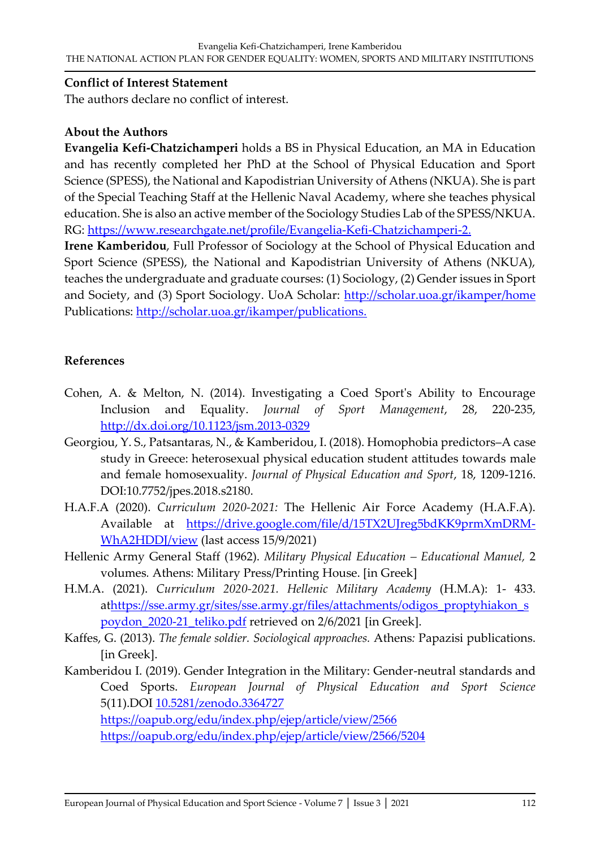#### **Conflict of Interest Statement**

The authors declare no conflict of interest.

#### **About the Authors**

**Evangelia Kefi-Chatzichamperi** holds a BS in Physical Education, an MA in Education and has recently completed her PhD at the School of Physical Education and Sport Science (SPESS), the National and Kapodistrian University of Athens (NKUA). She is part of the Special Teaching Staff at the Hellenic Naval Academy, where she teaches physical education. She is also an active member of the Sociology Studies Lab of the SPESS/NKUA. RG: [https://www.researchgate.net/profile/Evangelia-Kefi-Chatzichamperi-2.](https://www.researchgate.net/profile/Evangelia-Kefi-Chatzichamperi-2)

**Irene Kamberidou**, Full Professor of Sociology at the School of Physical Education and Sport Science (SPESS), the National and Kapodistrian University of Athens (NKUA), teaches the undergraduate and graduate courses: (1) Sociology, (2) Gender issues in Sport and Society, and (3) Sport Sociology. UoA Scholar:<http://scholar.uoa.gr/ikamper/home> Publications: [http://scholar.uoa.gr/ikamper/publications.](http://scholar.uoa.gr/ikamper/publications)

#### **References**

- Cohen, A. & Melton, N. (2014). Investigating a Coed Sport's Ability to Encourage Inclusion and Equality. *Journal of Sport Management*, 28, 220-235, <http://dx.doi.org/10.1123/jsm.2013-0329>
- Georgiou, Y. S., Patsantaras, N., & Kamberidou, I. (2018). Homophobia predictors–A case study in Greece: heterosexual physical education student attitudes towards male and female homosexuality. *Journal of Physical Education and Sport*, 18, 1209-1216. DOI:10.7752/jpes.2018.s2180.
- H.A.F.A (2020). *Curriculum 2020-2021:* The Hellenic Air Force Academy (H.A.F.A). Available at [https://drive.google.com/file/d/15TX2UJreg5bdKK9prmXmDRM-](https://drive.google.com/file/d/15TX2UJreg5bdKK9prmXmDRM-WhA2HDDJ/view)[WhA2HDDJ/view](https://drive.google.com/file/d/15TX2UJreg5bdKK9prmXmDRM-WhA2HDDJ/view) (last access 15/9/2021)
- Hellenic Army General Staff (1962). *Military Physical Education – Educational Manuel,* 2 volumes*.* Athens: Military Press/Printing House. [in Greek]
- H.M.A. (2021). *Curriculum 2020-2021. Hellenic Military Academy* (H.M.A): 1- 433. a[thttps://sse.army.gr/sites/sse.army.gr/files/attachments/odigos\\_proptyhiakon\\_s](https://sse.army.gr/sites/sse.army.gr/files/attachments/odigos_proptyhiakon_spoydon_2020-21_teliko.pdf) [poydon\\_2020-21\\_teliko.pdf](https://sse.army.gr/sites/sse.army.gr/files/attachments/odigos_proptyhiakon_spoydon_2020-21_teliko.pdf) retrieved on 2/6/2021 [in Greek].
- Kaffes, G. (2013). *The female soldier. Sociological approaches.* Athens*:* Papazisi publications. [in Greek].
- Kamberidou I. (2019). Gender Integration in the Military: Gender-neutral standards and Coed Sports. *European Journal of Physical Education and Sport Science* 5(11).DOI [10.5281/zenodo.3364727](https://doi.org/10.5281/zenodo.3364727)

<https://oapub.org/edu/index.php/ejep/article/view/2566>

<https://oapub.org/edu/index.php/ejep/article/view/2566/5204>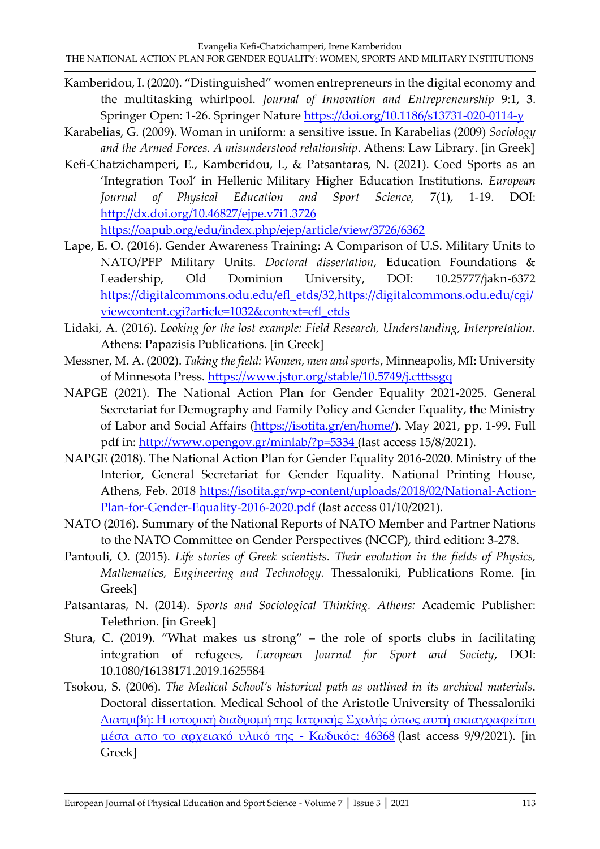- Kamberidou, I. (2020). "Distinguished" women entrepreneurs in the digital economy and the multitasking whirlpool. *Journal of Innovation and Entrepreneurship* 9:1, 3. Springer Open: 1-26. Springer Nature<https://doi.org/10.1186/s13731-020-0114-y>
- Karabelias, G. (2009). Woman in uniform: a sensitive issue. In Karabelias (2009) *Sociology and the Armed Forces. A misunderstood relationship*. Athens: Law Library. [in Greek]
- Kefi-Chatzichamperi, E., Kamberidou, I., & Patsantaras, N. (2021). Coed Sports as an 'Integration Tool' in Hellenic Military Higher Education Institutions. *European Journal of Physical Education and Sport Science,* 7(1), 1-19. DOI: <http://dx.doi.org/10.46827/ejpe.v7i1.3726> <https://oapub.org/edu/index.php/ejep/article/view/3726/6362>
- Lape, E. O. (2016). Gender Awareness Training: A Comparison of U.S. Military Units to NATO/PFP Military Units. *Doctoral dissertation*, Education Foundations & Leadership, Old Dominion University, DOI: 10.25777/jakn-6372 [https://digitalcommons.odu.edu/efl\\_etds/32,https://digitalcommons.odu.edu/cgi/](https://digitalcommons.odu.edu/efl_etds/32,https:/digitalcommons.odu.edu/cgi/viewcontent.cgi?article=1032&context=efl_etds) [viewcontent.cgi?article=1032&context=efl\\_etds](https://digitalcommons.odu.edu/efl_etds/32,https:/digitalcommons.odu.edu/cgi/viewcontent.cgi?article=1032&context=efl_etds)
- Lidaki, Α. (2016). *Looking for the lost example: Field Research, Understanding, Interpretation.* Athens: Papazisis Publications. [in Greek]
- Messner, M. A. (2002). *Taking the field: Women, men and sports*, Minneapolis, MI: University of Minnesota Press.<https://www.jstor.org/stable/10.5749/j.ctttssgq>
- NAPGE (2021). The National Action Plan for Gender Equality 2021-2025. General Secretariat for Demography and Family Policy and Gender Equality, the Ministry of Labor and Social Affairs [\(https://isotita.gr/en/home/\)](https://isotita.gr/en/home/). May 2021, pp. 1-99. Full pdf in:<http://www.opengov.gr/minlab/?p=5334> (last access 15/8/2021).
- NAPGE (2018). The National Action Plan for Gender Equality 2016-2020. Ministry of the Interior, General Secretariat for Gender Equality. National Printing House, Athens, Feb. 2018 [https://isotita.gr/wp-content/uploads/2018/02/National-Action-](https://isotita.gr/wp-content/uploads/2018/02/National-Action-Plan-for-Gender-Equality-2016-2020.pdf)[Plan-for-Gender-Equality-2016-2020.pdf](https://isotita.gr/wp-content/uploads/2018/02/National-Action-Plan-for-Gender-Equality-2016-2020.pdf) (last access 01/10/2021).
- NATO (2016). Summary of the National Reports of NATO Member and Partner Nations to the NATO Committee on Gender Perspectives (NCGP), third edition: 3-278.
- Pantouli, O. (2015). *Life stories of Greek scientists. Their evolution in the fields of Physics, Mathematics, Engineering and Technology.* Thessaloniki, Publications Rome. [in Greek]
- Patsantaras, N. (2014). *Sports and Sociological Thinking. Athens:* Academic Publisher: Telethrion. [in Greek]
- Stura, C. (2019). "What makes us strong" the role of sports clubs in facilitating integration of refugees, *European Journal for Sport and Society*, DOI: 10.1080/16138171.2019.1625584
- Tsokou, S. (2006). *The Medical School's historical path as outlined in its archival materials*. Doctoral dissertation. Medical School of the Aristotle University of Thessaloniki Διατριβή: Η ιστορική διαδρομή της Ιατρικής Σχολής όπως αυτή [σκιαγραφείται](https://emea01.safelinks.protection.outlook.com/?url=https%3A%2F%2Fthesis.ekt.gr%2FthesisBookReader%2Fid%2F46368%3Flang%3Del%23page%2F2%2Fmode%2F1up&data=04%7C01%7C%7Cbebb7369565b49c7e07408d972f2acbb%7C84df9e7fe9f640afb435aaaaaaaaaaaa%7C1%7C0%7C637667208869193263%7CUnknown%7CTWFpbGZsb3d8eyJWIjoiMC4wLjAwMDAiLCJQIjoiV2luMzIiLCJBTiI6Ik1haWwiLCJXVCI6Mn0%3D%7C1000&sdata=dj8RrOjX6NzOwdvGCAEfj5lF%2BvBbaff950QRkLZYLSY%3D&reserved=0) μέσα απο το [αρχειακό](https://emea01.safelinks.protection.outlook.com/?url=https%3A%2F%2Fthesis.ekt.gr%2FthesisBookReader%2Fid%2F46368%3Flang%3Del%23page%2F2%2Fmode%2F1up&data=04%7C01%7C%7Cbebb7369565b49c7e07408d972f2acbb%7C84df9e7fe9f640afb435aaaaaaaaaaaa%7C1%7C0%7C637667208869193263%7CUnknown%7CTWFpbGZsb3d8eyJWIjoiMC4wLjAwMDAiLCJQIjoiV2luMzIiLCJBTiI6Ik1haWwiLCJXVCI6Mn0%3D%7C1000&sdata=dj8RrOjX6NzOwdvGCAEfj5lF%2BvBbaff950QRkLZYLSY%3D&reserved=0) υλικό της - Κωδικός: 46368 (last access 9/9/2021). [in Greek]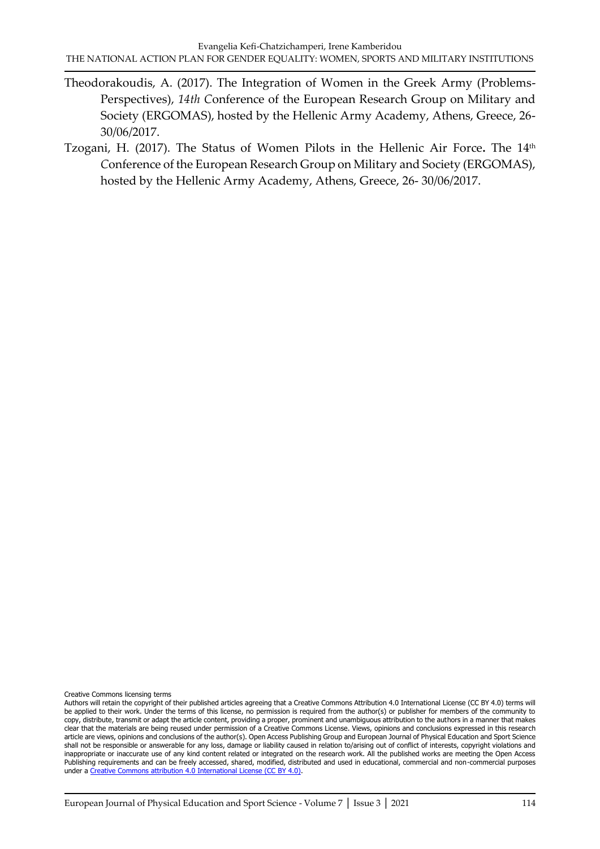- Theodorakoudis, A. (2017). The Integration of Women in the Greek Army (Problems-Perspectives), *14th C*onference of the European Research Group on Military and Society (ERGOMAS), hosted by the Hellenic Army Academy, Athens, Greece, 26- 30/06/2017.
- Tzogani, H. (2017). The Status of Women Pilots in the Hellenic Air Force**.** The 14th *C*onference of the European Research Group on Military and Society (ERGOMAS), hosted by the Hellenic Army Academy, Athens, Greece, 26- 30/06/2017.

Creative Commons licensing terms

Authors will retain the copyright of their published articles agreeing that a Creative Commons Attribution 4.0 International License (CC BY 4.0) terms will be applied to their work. Under the terms of this license, no permission is required from the author(s) or publisher for members of the community to copy, distribute, transmit or adapt the article content, providing a proper, prominent and unambiguous attribution to the authors in a manner that makes clear that the materials are being reused under permission of a Creative Commons License. Views, opinions and conclusions expressed in this research article are views, opinions and conclusions of the author(s). Open Access Publishing Group and European Journal of Physical Education and Sport Science shall not be responsible or answerable for any loss, damage or liability caused in relation to/arising out of conflict of interests, copyright violations and inappropriate or inaccurate use of any kind content related or integrated on the research work. All the published works are meeting the Open Access Publishing requirements and can be freely accessed, shared, modified, distributed and used in educational, commercial and non-commercial purposes under [a Creative Commons attribution 4.0 International License \(CC BY 4.0\).](https://creativecommons.org/licenses/by/4.0/)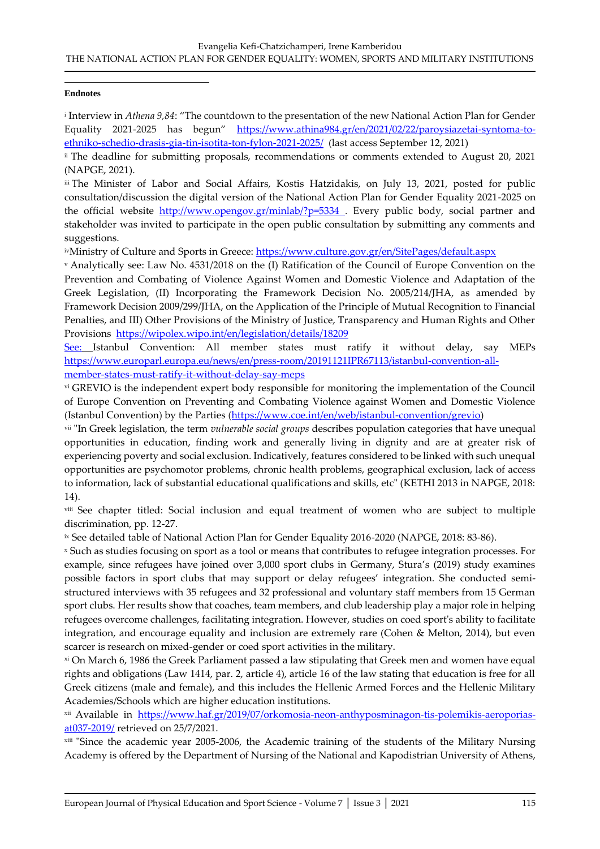#### **Endnotes**

i Interview in *Athena 9,84*: "The countdown to the presentation of the new National Action Plan for Gender Equality 2021-2025 has begun" [https://www.athina984.gr/en/2021/02/22/paroysiazetai-syntoma-to](https://www.athina984.gr/en/2021/02/22/paroysiazetai-syntoma-to-ethniko-schedio-drasis-gia-tin-isotita-ton-fylon-2021-2025/)[ethniko-schedio-drasis-gia-tin-isotita-ton-fylon-2021-2025/](https://www.athina984.gr/en/2021/02/22/paroysiazetai-syntoma-to-ethniko-schedio-drasis-gia-tin-isotita-ton-fylon-2021-2025/) (last access September 12, 2021)

ii The deadline for submitting proposals, recommendations or comments extended to August 20, 2021 (NAPGE, 2021).

iii The Minister of Labor and Social Affairs, Kostis Hatzidakis, on July 13, 2021, posted for public consultation/discussion the digital version of the National Action Plan for Gender Equality 2021-2025 on the official website <http://www.opengov.gr/minlab/?p=5334>. Every public body, social partner and stakeholder was invited to participate in the open public consultation by submitting any comments and suggestions.

ivMinistry of Culture and Sports in Greece:<https://www.culture.gov.gr/en/SitePages/default.aspx>

<sup>v</sup> Analytically see: Law No. 4531/2018 on the (I) Ratification of the Council of Europe Convention on the Prevention and Combating of Violence Against Women and Domestic Violence and Adaptation of the Greek Legislation, (II) Incorporating the Framework Decision No. 2005/214/JHA, as amended by Framework Decision 2009/299/JHA, on the Application of the Principle of Mutual Recognition to Financial Penalties, and III) Other Provisions of the Ministry of Justice, Transparency and Human Rights and Other Provisions <https://wipolex.wipo.int/en/legislation/details/18209>

See: Istanbul Convention: All member states must ratify it without delay, say MEPs [https://www.europarl.europa.eu/news/en/press-room/20191121IPR67113/istanbul-convention-all](https://www.europarl.europa.eu/news/en/press-room/20191121IPR67113/istanbul-convention-all-member-states-must-ratify-it-without-delay-say-meps)[member-states-must-ratify-it-without-delay-say-meps](https://www.europarl.europa.eu/news/en/press-room/20191121IPR67113/istanbul-convention-all-member-states-must-ratify-it-without-delay-say-meps)

vi GREVIO is the independent expert body responsible for monitoring the implementation of the Council of Europe Convention on Preventing and Combating Violence against Women and Domestic Violence (Istanbul Convention) by the Parties [\(https://www.coe.int/en/web/istanbul-convention/grevio\)](https://www.coe.int/en/web/istanbul-convention/grevio)

vii "In Greek legislation, the term *vulnerable social groups* describes population categories that have unequal opportunities in education, finding work and generally living in dignity and are at greater risk of experiencing poverty and social exclusion. Indicatively, features considered to be linked with such unequal opportunities are psychomotor problems, chronic health problems, geographical exclusion, lack of access to information, lack of substantial educational qualifications and skills, etc" (KETHI 2013 in NAPGE, 2018: 14).

viii See chapter titled: Social inclusion and equal treatment of women who are subject to multiple discrimination, pp. 12-27.

ix See detailed table of National Action Plan for Gender Equality 2016-2020 (NAPGE, 2018: 83-86).

<sup>x</sup> Such as studies focusing on sport as a tool or means that contributes to refugee integration processes. For example, since refugees have joined over 3,000 sport clubs in Germany, Stura's (2019) study examines possible factors in sport clubs that may support or delay refugees' integration. She conducted semistructured interviews with 35 refugees and 32 professional and voluntary staff members from 15 German sport clubs. Her results show that coaches, team members, and club leadership play a major role in helping refugees overcome challenges, facilitating integration. However, studies on coed sport's ability to facilitate integration, and encourage equality and inclusion are extremely rare (Cohen & Melton, 2014), but even scarcer is research on mixed-gender or coed sport activities in the military.

xi On March 6, 1986 the Greek Parliament passed a law stipulating that Greek men and women have equal rights and obligations (Law 1414, par. 2, article 4), article 16 of the law stating that education is free for all Greek citizens (male and female), and this includes the Hellenic Armed Forces and the Hellenic Military Academies/Schools which are higher education institutions.

xii Available in [https://www.haf.gr/2019/07/orkomosia-neon-anthyposminagon-tis-polemikis-aeroporias](https://www.haf.gr/2019/07/orkomosia-neon-anthyposminagon-tis-polemikis-aeroporias-at037-2019/)[at037-2019/](https://www.haf.gr/2019/07/orkomosia-neon-anthyposminagon-tis-polemikis-aeroporias-at037-2019/) retrieved on 25/7/2021.

xiii "Since the academic year 2005-2006, the Academic training of the students of the Military Nursing Academy is offered by the Department of Nursing of the National and Kapodistrian University of Athens,